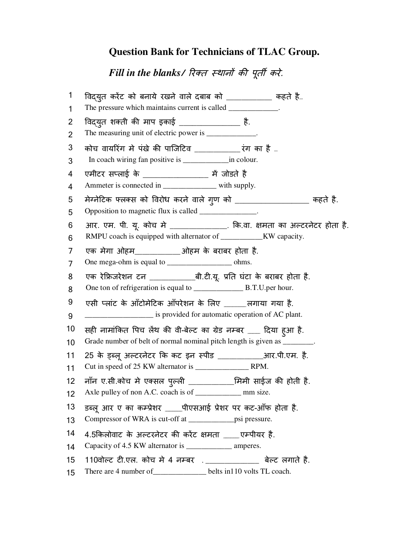### **Question Bank for Technicians of TLAC Group.**

Fill in the blanks/ रिक्त *स्थानों की पूर्ती करे.* 

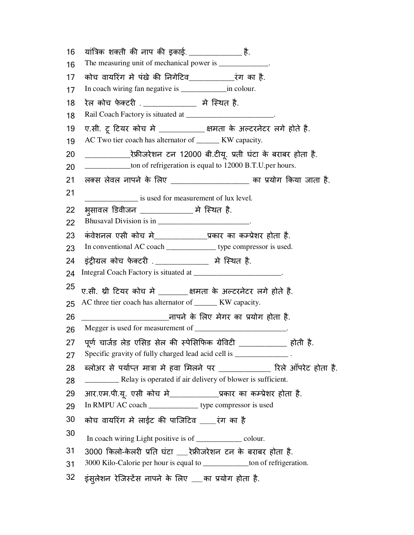| 16       | यांत्रिक शक्ती की नाप की इकाई. _________________ है.                                                                           |
|----------|--------------------------------------------------------------------------------------------------------------------------------|
| 16       | The measuring unit of mechanical power is ____________.                                                                        |
| 17       |                                                                                                                                |
| 17       | In coach wiring fan negative is ___________________ in colour.                                                                 |
| 18       | रेल कोच फेक्टरी . _____________ मे स्थित है.                                                                                   |
| 18       | Rail Coach Factory is situated at _________________________.                                                                   |
| 19<br>19 | ए.सी. टू टियर कोच मे ______________क्षमता के अल्टरनेटर लगे होते है.<br>AC Two tier coach has alternator of ______ KW capacity. |
| 20       | _________________रेफ्रीजरेशन टन 12000 बी.टीयू. प्रती घंटा के बराबर होता है.                                                    |
| 20       | ____________ton of refrigeration is equal to 12000 B.T.U.per hours.                                                            |
| 21       | लक्स लेवल नापने के लिए ____________________ का प्रयोग किया जाता है.                                                            |
| 21       |                                                                                                                                |
| 22       | is used for measurement of lux level.<br>भुसावल डिवीजन ______________ मे स्थित है.                                             |
| 22       | Bhusaval Division is in _______________________.                                                                               |
| 23       | कंवेशनल एसी कोच मे_______________प्रकार का कम्प्रेशर होता है.                                                                  |
| 23       | In conventional AC coach ________________ type compressor is used.                                                             |
| 24       | इंट्रीग्रल कोच फेक्टरी ._____________ मे स्थित है.                                                                             |
| 24       | Integral Coach Factory is situated at _________________________.                                                               |
| 25       | ए.सी. थ्री टियर कोच मे _________क्षमता के अल्टरनेटर लगे होते है.                                                               |
| 25       | AC three tier coach has alternator of _______ KW capacity.                                                                     |
| 26       |                                                                                                                                |
| 26       |                                                                                                                                |
| 27       | पूर्ण चार्जड लेड एसिड सेल की स्पेसिफिक ग्रेविटी ____________ होती है.                                                          |
| 27       | Specific gravity of fully charged lead acid cell is _____________.                                                             |
| 28       | ब्लोअर से पर्याप्त मात्रा मे हवा मिलने पर _____________ रिले ऑपरेट होता है.                                                    |
| 28       |                                                                                                                                |
| 29       | आर.एम.पी.यू. एसी कोच मे_____________प्रकार का कम्प्रेशर होता है.                                                               |
| 29       | In RMPU AC coach ______________ type compressor is used                                                                        |
| 30       | कोच वायरिंग मे लाईट की पाजिटिव ____रंग का है                                                                                   |
| 30       | In coach wiring Light positive is of __________ colour.                                                                        |
| 31       | 3000 किलो-केलरी प्रति घंटा ___रेफ्रीजरेशन टन के बराबर होता है.                                                                 |
| 31       | 3000 Kilo-Calorie per hour is equal to ______________ton of refrigeration.                                                     |
| 32       | इंस्लेशन रेजिस्टेंस नापने के लिए ___का प्रयोग होता है.                                                                         |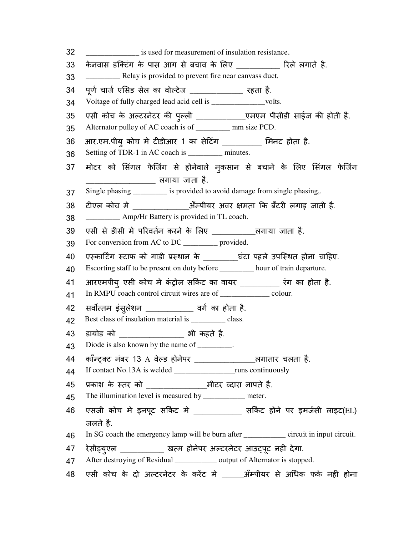32 \_\_\_\_\_\_\_\_\_\_\_\_\_\_\_\_ is used for measurement of insulation resistance. 33 के नवास डिटंग के पास आग से बचाव के Iलए \_\_\_\_\_\_\_\_\_\_ रले लगाते है. 33 \_\_\_\_\_\_\_\_\_ Relay is provided to prevent fire near canvass duct.  $34$  पूर्ण चार्ज एसिड सेल का वोल्टेज  $\begin{array}{ccc} - & \end{array}$  रहता है. 34 Voltage of fully charged lead acid cell is \_\_\_\_\_\_\_\_\_\_\_\_volts. 35 एसी कोच के अल्टरनेटर की पुल्ली \_\_\_\_\_\_\_\_\_\_\_\_\_\_\_\_\_एमएम पीसीडी साईज की होती है. 35 Alternator pulley of AC coach is of \_\_\_\_\_\_\_\_\_ mm size PCD. 36 आर.एम.पीय् कोच मे टीडीआर 1 का सेटिंग \_\_\_\_\_\_\_\_\_ मिनट होता है. 36 Setting of TDR-1 in AC coach is \_\_\_\_\_\_\_\_\_ minutes. 37 मोटर को सिंगल फेजिंग से होनेवाले नुकसान से बचाने के लिए सिंगल फेजिंग \_\_\_\_\_\_\_\_\_\_\_\_\_\_\_\_ लगाया जाता है. 37 Single phasing \_\_\_\_\_\_\_\_\_ is provided to avoid damage from single phasing,. 38 टीएल कोच मे \_\_\_\_\_\_\_\_\_\_\_\_\_\_\_\_\_अँम्पीयर अवर क्षमता कि बँटरी लगाइ जाती है. 38 \_\_\_\_\_\_\_\_\_ Amp/Hr Battery is provided in TL coach. 39 एसी से डीसी मे परिवर्तन करने के लिए \_\_\_\_\_\_\_\_\_\_\_लगाया जाता है. 39 For conversion from AC to DC \_\_\_\_\_\_\_\_\_ provided. 40 एका.टXग टाफ को गाडी Dथान के \_\_\_\_\_\_\_\_घंटा पहले उपिथत होना चा.हए. 40 Escorting staff to be present on duty before \_\_\_\_\_\_\_\_\_ hour of train departure. 41 आरएमपीयु एसी कोच मे कंट्रोल सर्किट का वायर \_\_\_\_\_\_\_\_\_\_ रंग का होता है. 41 In RMPU coach control circuit wires are of \_\_\_\_\_\_\_\_\_\_\_\_\_ colour. 42 सर्वोत्तम इंसुलेशन \_\_\_\_\_\_\_\_\_\_\_\_\_ वर्ग का होता है. 42 Best class of insulation material is \_\_\_\_\_\_\_\_\_\_ class. 43 डायोड को \_\_\_\_\_\_\_\_\_\_\_\_\_\_\_ भी कहते है. 43 Diode is also known by the name of \_\_\_\_\_\_\_\_. 44 कॉन्ट्क्ट नंबर 13 A वेल्ड होनेपर \_\_\_\_\_\_\_\_\_\_\_\_\_\_\_\_\_\_\_\_लगातार चलता है. 44 If contact No.13A is welded \_\_\_\_\_\_\_\_\_\_\_\_\_\_\_\_runs continuously 45 Dकाश के तर को \_\_\_\_\_\_\_\_\_\_\_\_\_\_मीटर ^दारा नापते है. 45 The illumination level is measured by \_\_\_\_\_\_\_\_\_\_\_\_ meter. 46 एसजी कोच मे इनपूट सर्किट मे \_\_\_\_\_\_\_\_\_\_\_\_ सर्किट होने पर इमर्जसी लाइट(EL) जलते है. 46 In SG coach the emergency lamp will be burn after \_\_\_\_\_\_\_\_\_\_\_ circuit in input circuit. 47 रेसीड्युएल \_\_\_\_\_\_\_\_\_\_\_\_\_ खत्म होनेपर अल्टरनेटर आउट्पूट नही देगा. 47 After destroying of Residual \_\_\_\_\_\_\_\_\_\_\_ output of Alternator is stopped. 48 एसी कोच के दो अ>टरनेटर के करट मे \_\_\_\_\_अँMपीयर से अaधक फकW नहC होना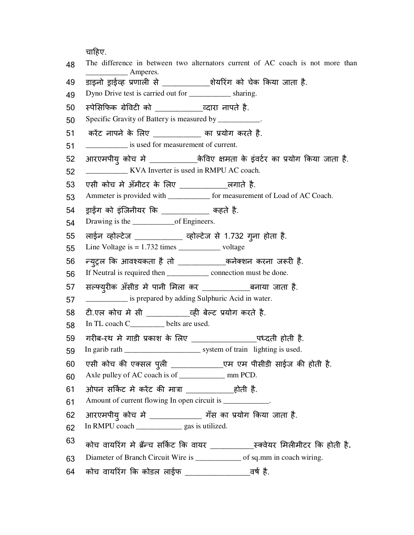चाहिए.

| 48 | The difference in between two alternators current of AC coach is not more than<br>$\frac{\phantom{1}}{2}$ Amperes. |
|----|--------------------------------------------------------------------------------------------------------------------|
| 49 | डाइनो ड्राईव्ह प्रणाली से __________शेयरिंग को चेक किया जाता है.                                                   |
| 49 | Dyno Drive test is carried out for ____________ sharing.                                                           |
| 50 | स्पेसिफिक ग्रेविटी को __________________व्दारा नापते है.                                                           |
| 50 | Specific Gravity of Battery is measured by __________.                                                             |
| 51 | करेंट नापने के लिए __________ का प्रयोग करते है.                                                                   |
| 51 | is used for measurement of current.                                                                                |
| 52 | आरएमपीयु कोच मे _________________केविए क्षमता के इंवर्टर का प्रयोग किया जाता है.                                   |
| 52 | <b>EXALCE EXAMPLE EXAMPLE ASSESS</b> EXPLORER TO KYA Inverter is used in RMPU AC coach.                            |
| 53 | एसी कोच में अँमीटर के लिए _______________लगाते है.                                                                 |
| 53 | Ammeter is provided with _____________ for measurement of Load of AC Coach.                                        |
| 54 | ड्राईंग को इंजिनीयर कि __________ कहते है.                                                                         |
| 54 |                                                                                                                    |
| 55 | लाईन व्होल्टेज ___________ व्होल्टेज से 1.732 गुना होता है.                                                        |
| 55 | Line Voltage is $= 1.732$ times ______________________ voltage                                                     |
| 56 | न्युट्रल कि आवश्यकता है तो ____________कनेक्शन करना जरूरी है.                                                      |
| 56 | If Neutral is required then _______________ connection must be done.                                               |
| 57 | सल्फ्युरीक ॲंसीड मे पानी मिला कर ______________बनाया जाता है.                                                      |
| 57 | is prepared by adding Sulphuric Acid in water.                                                                     |
| 58 | टी.एल कोच मे सी _____________ व्ही बेल्ट प्रयोग करते है.                                                           |
| 58 | In TL coach C________ belts are used.                                                                              |
| 59 | गरीब-रथ मे गाडी प्रकाश के लिए _____________________पध्दती होती है.                                                 |
| 59 |                                                                                                                    |
| 60 | एसी कोच की एक्सल पुली _______________________एम पम पीसीडी साईज की होती है.                                         |
| 60 |                                                                                                                    |
| 61 | ओपन सर्किट मे करेंट की मात्रा ________________होती है.                                                             |
| 61 | Amount of current flowing In open circuit is ____________.                                                         |
| 62 | आरएमपीयु कोच मे ____________ गँस का प्रयोग किया जाता है.                                                           |
| 62 | In RMPU coach ________________ gas is utilized.                                                                    |
| 63 | कोच वायरिंग मे ब्रॅन्च सर्किट कि वायर ____________ स्क्वेयर मिलीमीटर कि होती है.                                   |
| 63 | Diameter of Branch Circuit Wire is ______________ of sq.mm in coach wiring.                                        |
| 64 |                                                                                                                    |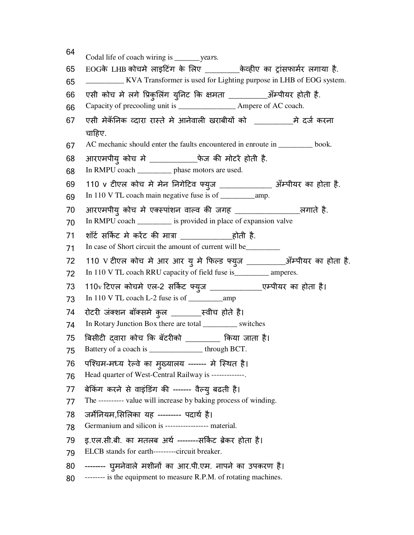| 64       | Codal life of coach wiring is _________ years.                                                         |
|----------|--------------------------------------------------------------------------------------------------------|
| 65       | EOGके LHB कोचमे लाइटिंग के लिए _________केव्हीए का ट्रांसफार्मर लगाया है.                              |
| 65       | <b>EXALUARE:</b> KVA Transformer is used for Lighting purpose in LHB of EOG system.                    |
| 66       | एसी कोच मे लगे प्रिकुलिंग युनिट कि क्षमता __________अँम्पीयर होती है.                                  |
| 66       | Capacity of precooling unit is _______________________ Ampere of AC coach.                             |
| 67       | एसी मेकॅनिक व्दारा रास्ते मे आनेवाली खराबीयों को _____________ मे दर्ज करना                            |
| 67       | चाहिए.<br>AC mechanic should enter the faults encountered in enroute in _______ book.                  |
|          |                                                                                                        |
| 68<br>68 | आरएमपीयु कोच मे _____________फेज की मोटरें होती है.<br>In RMPU coach __________ phase motors are used. |
|          |                                                                                                        |
| 69<br>69 | 110 v टीएल कोच मे मेन निगेटिव फ्युज _____________ ॲम्पीयर का होता है.                                  |
| 70       |                                                                                                        |
| 70       | In RMPU coach ________ is provided in place of expansion valve                                         |
| 71       |                                                                                                        |
| 71       | In case of Short circuit the amount of current will be_________                                        |
| 72       | 110 V टीएल कोच मे आर आर यु मे फिल्ड फ्युज ___________ऑम्पीयर का होता है.                               |
| 72       | In 110 V TL coach RRU capacity of field fuse is__________ amperes.                                     |
| 73       | 110v टिएल कोचमे एल-2 सर्किट फ्युज ________________एम्पीयर का होता है।                                  |
| 73       |                                                                                                        |
| 74       | रोटरी जंक्शन बॉक्समे कुल ________स्वीच होते है।                                                        |
| 74       | In Rotary Junction Box there are total _________ switches                                              |
| 75       | बिसीटी दवारा कोच कि बॅटरीको ________ किया जाता है।                                                     |
| 75       | Battery of a coach is _______________through BCT.                                                      |
| 76       | पश्चिम-मध्य रेल्वे का मुख्यालय ------- मे स्थित है।                                                    |
| 76       | Head quarter of West-Central Railway is -------------.                                                 |
| 77       | बेकिंग करने से वाइंडिंग की ------- वैल्यु बढती है।                                                     |
| 77       | The ---------- value will increase by baking process of winding.                                       |
| 78       | जर्मेनियम,सिलिका यह --------- पदार्थ है।                                                               |
| 78       | Germanium and silicon is ----------------- material.                                                   |
| 79       | इ.एल.सी.बी. का मतलब अर्थ -------सर्किट ब्रेकर होता है।                                                 |
| 79       | ELCB stands for earth---------circuit breaker.                                                         |
| 80       | -------- घुमनेवाले मशीनों का आर.पी.एम. नापने का उपकरण है।                                              |
| 80       | -------- is the equipment to measure R.P.M. of rotating machines.                                      |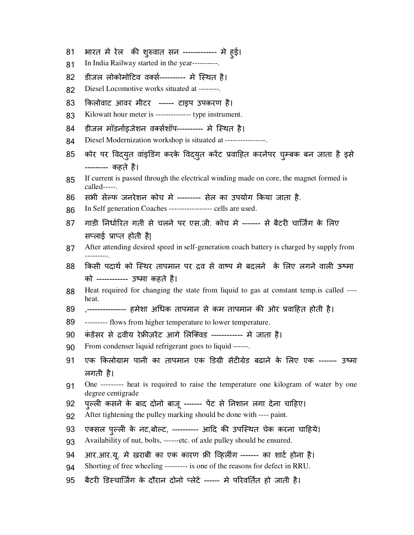- 81 भारत मे रेल की शुरुवात सन ------------- मे हुई।
- 81 In India Railway started in the year----------.
- 82 डीजल लोकोमोटिव वर्क्स---------- मे स्थित है।
- 82 Diesel Locomotive works situated at --------.
- 83 ;कलोवाट आवर मीटर ------ टाइप उपकरण है।
- 83 Kilowatt hour meter is -------------- type instrument.
- 84 डीजल मॉडर्नाइजेशन वर्क्सशॉप---------- मे स्थित है।
- 84 Diesel Modernization workshop is situated at ----------------.
- 85 कोर पर विद्युत वांइडिंग करके विद्युत करेंट प्रवाहित करनेपर चुम्बक बन जाता है इसे --------- कहते है।
- 85 If current is passed through the electrical winding made on core, the magnet formed is called-----.
- 86 सभी सेल्फ जनरेशन कोच मे --------- सेल का उपयोग किया जाता है.
- 86 In Self generation Coaches ----------------- cells are used.
- 87 गाडी निर्धारित गती से चलने पर एस.जी. कोच मे ------- से बैटरी चार्जिंग के लिए सप्लाई प्राप्त होती है|
- 87 After attending desired speed in self-generation coach battery is charged by supply from ---------.
- 88 किसी पदार्थ को स्थिर तापमान पर द्रव से वाष्प मे बदलने के लिए लगने वाली ऊष्मा को ------------ उtमा कहते है।
- 88 Heat required for changing the state from liquid to gas at constant temp.is called --- heat.
- 89 ,--------------- हमेशा अधिक तापमान से कम तापमान की ओर प्रवाहित होती है।
- 89 --------- flows from higher temperature to lower temperature.
- 90 कंडेंसर से द्रवीय रेफ्रीजरेंट आगे लिक्विड ------------ मे जाता है।
- 90 From condenser liquid refrigerant goes to liquid ------.
- 91 एक किलोग्राम पानी का तापमान एक डिग्री सेंटीग्रेड बढाने के लिए एक ------- उष्मा लगती है।
- 91 One --------- heat is required to raise the temperature one kilogram of water by one degree centigrade
- 92 पुल्ली कसने के बाद दोनो बाजू ------- पेंट से निशान लगा देना चाहिए।
- 92 After tightening the pulley marking should be done with ---- paint.
- 93 एक्सल पुल्ली के नट,बोल्ट, ---------- आदि की उपस्थित चेक करना चाहिये।
- 93 Availability of nut, bolts, ------etc. of axle pulley should be ensured.
- 94 आर.आर.यू. मे खराबी का एक कारण फ्री व्हिलींग ------- का शार्ट होना है।
- 94 Shorting of free wheeling --------- is one of the reasons for defect in RRU.
- 95 बैटरी डिस्चार्जिंग के दौरान दोनो प्लेटें ------ मे परिवर्तित हो जाती है।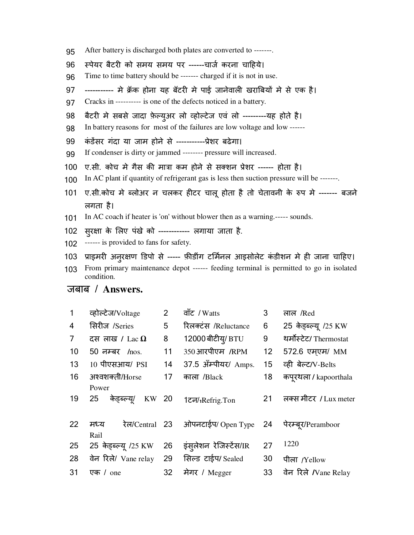- 95 After battery is discharged both plates are converted to -------.
- 96 स्पेयर बैटरी को समय समय पर ------चार्ज करना चाहिये।
- 96 Time to time battery should be ------- charged if it is not in use.
- 97 ----------- मे क्रॅंक होना यह बॅटरी में पाई जानेवाली खराबियों में से एक है।
- 97 Cracks in ---------- is one of the defects noticed in a battery.
- 98 बैटरी मे सबसे जादा फ़ेल्युअर लो व्होल्टेज एवं लो ---------यह होते है।
- 98 In battery reasons for most of the failures are low voltage and low ------
- 99 कं डसर गंदा या जाम होने से -----------Dेशर बढेगा।
- 99 If condenser is dirty or jammed -------- pressure will increased.
- 100 ए.सी. कोच मे गैस की मात्रा कम होने से सक्शन प्रेशर ------ होता है।
- 100 In AC plant if quantity of refrigerant gas is less then suction pressure will be -------.
- 101 ए.सी.कोच मे ब्लोअर न चलकर हीटर चालू होता है तो चेतावनी के रुप मे ------- बजने लगता है।
- 101 In AC coach if heater is 'on' without blower then as a warning.----- sounds.
- 102 सुरक्षा के लिए पंखे को ------------ लगाया जाता है.
- 102 ------ is provided to fans for safety.
- 103 प्राइमरी अनुरक्षण डिपो से ----- फ़ीडींग टर्मिनल आइसोलेट कंडीशन मे ही जाना चाहिए।
- 103 From primary maintenance depot ------ feeding terminal is permitted to go in isolated condition.

| $\mathbf{1}$   | व्होल्टेज/Voltage                   | $\overline{2}$ | वाँट / Watts                   | 3               | लाल /Red                     |
|----------------|-------------------------------------|----------------|--------------------------------|-----------------|------------------------------|
| $\overline{4}$ | सिरीज /Series                       | 5              | रिलक्टंस /Reluctance           | 6               | 25 केड्ब्ल्यू /25 KW         |
| $\overline{7}$ | दस लाख / Lac $\Omega$               | 8              | 12000 बीटीय/ BTU               | 9               | थर्मोस्टेट/ Thermostat       |
| 10             | $50$ नम्बर $/$ nos.                 | 11             | 350 आरपीएम /RPM                | 12 <sup>2</sup> | 572.6 एमएम/ MM               |
| 13             | 10 पीएसआय/ PSI                      | 14             | 37.5 अँम्पीयर/ Amps.           | 15              | व्ही बेल्ट/V-Belts           |
| 16             | अश्वशक्ती/Horse                     | 17             | काला /Black                    | 18              | कपूरथला / kapoorthala        |
| 19             | Power<br>KW 20<br>25<br>केड़ब्ल्यू/ |                | 1टन/ <sub>1</sub> Refrig.Ton   | 21              | लक्स मीटर / Lux meter        |
| 22             | रेल/Central 23<br>मध्य<br>Rail      |                | ओपनटाईप/ Open Type 24          |                 | पेरम्बूर/Peramboor           |
| 25             | 25 केड्ब्ल्यू /25 KW                | 26             | इंस् <b>लेशन रेजिस्टेंस/IR</b> | 27              | 1220                         |
| 28             | वेन रिले/ Vane relay                | 29             | सिल्ड टाईप/Sealed              | 30              | पीला /Yellow                 |
| 31             | एक / one                            | 32             | मेगर / Megger                  | 33              | वेन रिले <i>I</i> Vane Relay |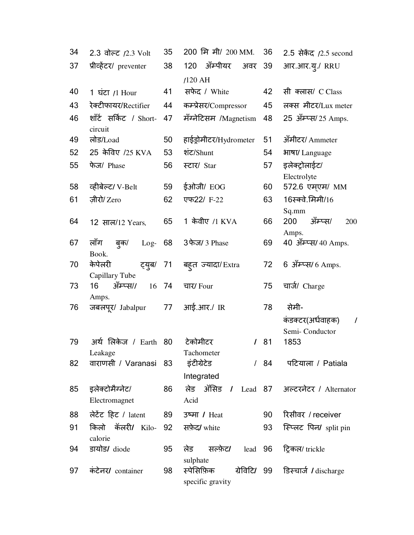| 34 | 2.3 वोल्ट $/2.3$ Volt             | 35 | 200 मि मी/ 200 MM.             | 36 | 2.5 सेकेंद /2.5 second                          |
|----|-----------------------------------|----|--------------------------------|----|-------------------------------------------------|
| 37 | प्रीव्हेंटर/ preventer            | 38 | ॲम्पीयर<br>120<br>अवर          | 39 | आर.आर.यू./ RRU                                  |
|    |                                   |    | $/120$ AH                      |    |                                                 |
| 40 | 1 घंटा $/1$ Hour                  | 41 | सफेद / White                   | 42 | सी क्लास/ C Class                               |
| 43 | रेक्टीफायर/Rectifier              | 44 | कम्प्रेसर/Compressor           | 45 | लक्स मीटर/Lux meter                             |
| 46 | शाँर्ट सर्किट / Short-<br>circuit | 47 | मॅग्नेटिसम /Magnetism          | 48 | 25 अँम्प्स/ 25 Amps.                            |
| 49 | लोड/Load                          | 50 | हाईड्रोमीटर/Hydrometer         | 51 | अँमीटर/ Ammeter                                 |
| 52 | 25 केविए /25 KVA                  | 53 | शंट/Shunt                      | 54 | भाषा/ Language                                  |
| 55 | फेज/ Phase                        | 56 | स्टार/ Star                    | 57 | इलेक्ट्रोलाईट/                                  |
|    |                                   |    |                                |    | Electrolyte                                     |
| 58 | व्हीबेल्ट/ V-Belt                 | 59 | ईओजी/ EOG                      | 60 | 572.6 एम्एम/ MM                                 |
| 61 | ज़ीरो/ Zero                       | 62 | एफ22/ F-22                     | 63 | 16स्क्वे.मिमी/16                                |
|    |                                   |    |                                |    | Sq.mm                                           |
| 64 | 12 साल/12 Years.                  | 65 | 1 केवीए /1 KVA                 | 66 | ॲम्प्स/<br>200<br>200                           |
| 67 | लॉग<br>ब्क/<br>$Log-$             | 68 | 3 फेज/ 3 Phase                 | 69 | Amps.<br>40 अँम्प्स/ 40 Amps.                   |
|    | Book.                             |    |                                |    |                                                 |
| 70 | केपेलरी<br>ट्यूब/                 | 71 | बहुत ज्यादा/Extra              | 72 | 6 ऑम्प्स/ 6 Amps.                               |
|    | Capillary Tube                    |    |                                |    |                                                 |
| 73 | ॲम्प्स//<br>16<br>16              | 74 | चार/ Four                      | 75 | चार्ज/ Charge                                   |
|    | Amps.                             |    |                                |    |                                                 |
| 76 | जबलपूर/ Jabalpur                  | 77 | आई.आर./ IR                     | 78 | सेमी-                                           |
|    |                                   |    |                                |    | कंडक्टर(अर्धवाहक)<br>$\prime$<br>Semi-Conductor |
| 79 | अर्थ लिकेज / Earth 80             |    | टेकोमीटर<br>$\mathcal{L}$      | 81 | 1853                                            |
|    | Leakage                           |    | Tachometer                     |    |                                                 |
| 82 | वाराणसी / Varanasi 83             |    | इंटीग्रेटेड<br>$\sqrt{2}$      | 84 | पटियाला / Patiala                               |
|    |                                   |    | Integrated                     |    |                                                 |
| 85 | इलेक्टोमैग्नेट/                   | 86 | लेड ॲसिड / Lead 87             |    | अल्टरनेटर / Alternator                          |
|    | Electromagnet                     |    | Acid                           |    |                                                 |
| 88 | लेटेंट हिट / latent               | 89 | उष्मा / Heat                   | 90 | रिसीवर / receiver                               |
| 91 | किलो कॅलरी/ Kilo-                 | 92 | सफ़ेद/ white                   | 93 | स्प्लिट पिन/ split pin                          |
|    | calorie                           |    |                                |    |                                                 |
| 94 | डायोड/ diode                      | 95 | सल्फ़ेट/<br>लेड<br>lead        | 96 | ट्रिकल/ trickle                                 |
|    |                                   |    | sulphate                       |    |                                                 |
| 97 | कंटेनर/ container                 | 98 | स्पेसिफ़िक<br>specific gravity |    | ग्रेविटि/ 99 डिस्चार्ज / discharge              |
|    |                                   |    |                                |    |                                                 |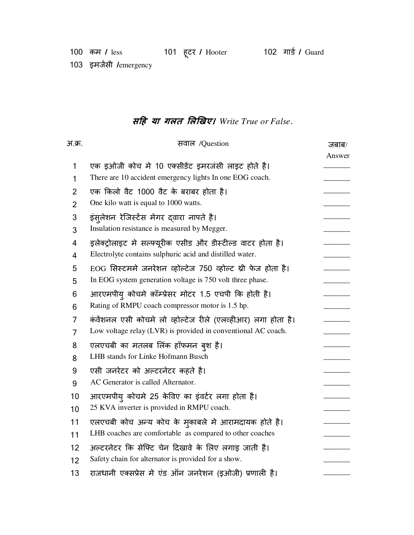103 इमर्जसी *l*emergency

## **सह या गलत लखए।** *Write True or False*.

| अ.क्र.         | सवाल /Question                                                | जबाब/  |
|----------------|---------------------------------------------------------------|--------|
|                |                                                               | Answer |
| 1              | एक इओजी कोच मे 10 एक्सीडेंट इमरजंसी लाइट होते है।             |        |
| 1              | There are 10 accident emergency lights In one EOG coach.      |        |
| 2              | एक किलो वैट 1000 वैट के बराबर होता है।                        |        |
| $\overline{2}$ | One kilo watt is equal to 1000 watts.                         |        |
| 3              | इंसुलेशन रेजिस्टेंस मेगर द्वारा नापते है।                     |        |
| 3              | Insulation resistance is measured by Megger.                  |        |
| 4              | इलेक्ट्रोलाइट मे सल्फ्यूरीक एसीड और डीस्टील्ड वाटर होता है।   |        |
| 4              | Electrolyte contains sulphuric acid and distilled water.      |        |
| 5              | EOG सिस्टममे जनरेशन व्होल्टेज 750 व्होल्ट थ्री फेज होता है।   |        |
| 5              | In EOG system generation voltage is 750 volt three phase.     |        |
| 6              | आरएमपीय कोचमे क़ॉम्प्रेसर मोटर 1.5 एचपी कि होती है।           |        |
| 6              | Rating of RMPU coach compressor motor is 1.5 hp.              |        |
| 7              | कंवेंशनल एसी कोचमे लो व्होल्टेज रीले (एलव्हीआर) लगा होता है।  |        |
| 7              | Low voltage relay (LVR) is provided in conventional AC coach. |        |
| 8              | एलएचबी का मतलब लिंक हॉफमन बुश है।                             |        |
| 8              | LHB stands for Linke Hofmann Busch                            |        |
| 9              | एसी जनरेटर को अल्टरनेटर कहते है।                              |        |
| 9              | AC Generator is called Alternator.                            |        |
| 10             | आरएमपीय् कोचमे 25 केविए का इंवर्टर लगा होता है।               |        |
| 10             | 25 KVA inverter is provided in RMPU coach.                    |        |
| 11             | एलएचबी कोच अन्य कोच के मुकाबले मे आरामदायक होते है।           |        |
| 11             | LHB coaches are comfortable as compared to other coaches      |        |
| 12             | अल्टरनेटर कि सेफ्टि चेन दिखावे के लिए लगाइ जाती है।           |        |
| 12             | Safety chain for alternator is provided for a show.           |        |
| 13             | राजधानी एक्सप्रेस मे एंड ऑन जनरेशन (इओजी) प्रणाली है।         |        |
|                |                                                               |        |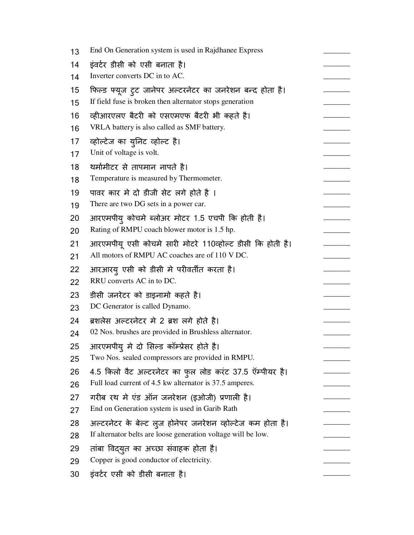| 13 | End On Generation system is used in Rajdhanee Express         |  |
|----|---------------------------------------------------------------|--|
| 14 | इंवर्टर डीसी को एसी बनाता है।                                 |  |
| 14 | Inverter converts DC in to AC.                                |  |
| 15 | फिल्ड फ्यूज टुट जानेपर अल्टरनेटर का जनरेशन बन्द होता है।      |  |
| 15 | If field fuse is broken then alternator stops generation      |  |
| 16 | व्हीआरएलए बैटरी को एसएमएफ बैटरी भी कहते है।                   |  |
| 16 | VRLA battery is also called as SMF battery.                   |  |
| 17 | व्होल्टेज का युनिट व्होल्ट है।                                |  |
| 17 | Unit of voltage is volt.                                      |  |
| 18 | थर्मामीटर से तापमान नापते है।                                 |  |
| 18 | Temperature is measured by Thermometer.                       |  |
| 19 | पावर कार मे दो डीजी सेट लगे होते है ।                         |  |
| 19 | There are two DG sets in a power car.                         |  |
| 20 | आरएमपीयु कोचमे ब्लोअर मोटर 1.5 एचपी कि होती है।               |  |
| 20 | Rating of RMPU coach blower motor is 1.5 hp.                  |  |
| 21 | आरएमपीयू एसी कोचमे सारी मोटरे 110व्होल्ट डीसी कि होती है।     |  |
| 21 | All motors of RMPU AC coaches are of 110 V DC.                |  |
| 22 | आरआरयु एसी को डीसी मे परीवर्तीत करता है।                      |  |
| 22 | RRU converts AC in to DC.                                     |  |
| 23 | डीसी जनरेटर को डाइनामो कहते है।                               |  |
| 23 | DC Generator is called Dynamo.                                |  |
| 24 | ब्रशलेस अल्टरनेटर मे 2 ब्रश लगे होते है।                      |  |
| 24 | 02 Nos. brushes are provided in Brushless alternator.         |  |
| 25 | आरएमपीयु मे दो सिल्ड कॉम्प्रेसर होते है।                      |  |
| 25 | Two Nos. sealed compressors are provided in RMPU.             |  |
| 26 | 4.5 किलो वैट अल्टरनेटर का फुल लोड करंट 37.5 ऍम्पीयर है।       |  |
| 26 | Full load current of 4.5 kw alternator is 37.5 amperes.       |  |
| 27 | गरीब रथ मे एंड ऑन जनरेशन (इओजी) प्रणाली है।                   |  |
| 27 | End on Generation system is used in Garib Rath                |  |
| 28 | अल्टरनेटर के बेल्ट लुज होनेपर जनरेशन व्होल्टेज कम होता है।    |  |
| 28 | If alternator belts are loose generation voltage will be low. |  |
| 29 | ताबा विद्युत का अच्छा संवाहक होता है।                         |  |
| 29 | Copper is good conductor of electricity.                      |  |
| 30 | इंवर्टर एसी को डीसी बनाता है।                                 |  |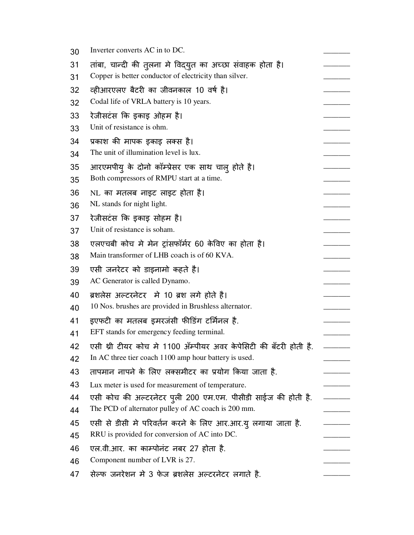| 30 | Inverter converts AC in to DC.                                   |  |
|----|------------------------------------------------------------------|--|
| 31 | तांबा, चान्दी की त़्लना मे विद्युत का अच्छा संवाहक होता है।      |  |
| 31 | Copper is better conductor of electricity than silver.           |  |
| 32 | व्हीआरएलए बैटरी का जीवनकाल 10 वर्ष है।                           |  |
| 32 | Codal life of VRLA battery is 10 years.                          |  |
| 33 | रेजीसटंस कि इकाइ ओहम है।                                         |  |
| 33 | Unit of resistance is ohm.                                       |  |
| 34 | प्रकाश की मापक इकाइ लक्स है।                                     |  |
| 34 | The unit of illumination level is lux.                           |  |
| 35 | आरएमपीयु के दोनो कॉम्प्रेसर एक साथ चालु होते है।                 |  |
| 35 | Both compressors of RMPU start at a time.                        |  |
| 36 | NL का मतलब नाइट लाइट होता है।                                    |  |
| 36 | NL stands for night light.                                       |  |
| 37 | रेजीसटंस कि इकाइ सोहम है।                                        |  |
| 37 | Unit of resistance is soham.                                     |  |
| 38 | एलएचबी कोच मे मेन ट्रांसफॉर्मर 60 केविए का होता है।              |  |
| 38 | Main transformer of LHB coach is of 60 KVA.                      |  |
| 39 | एसी जनरेटर को डाइनामो कहते है।                                   |  |
| 39 | AC Generator is called Dynamo.                                   |  |
| 40 | ब्रशलेस अल्टरनेटर  मे 10 ब्रश लगे होते है।                       |  |
| 40 | 10 Nos. brushes are provided in Brushless alternator.            |  |
| 41 | इएफटी का मतलब इमरजंसी फीडिंग टर्मिनल है.                         |  |
| 41 | EFT stands for emergency feeding terminal.                       |  |
| 42 | एसी थ्री टीयर कोच मे 1100 ॲम्पीयर अवर केपेसिटी की बँटरी होती है. |  |
| 42 | In AC three tier coach 1100 amp hour battery is used.            |  |
| 43 | तापमान नापने के लिए लक्समीटर का प्रयोग किया जाता है.             |  |
| 43 | Lux meter is used for measurement of temperature.                |  |
| 44 | एसी कोच की अल्टरनेटर पुली 200 एम.एम. पीसीडी साईज की होती है.     |  |
| 44 | The PCD of alternator pulley of AC coach is 200 mm.              |  |
| 45 | एसी से डीसी मे परिवर्तन करने के लिए आर.आर.यु लगाया जाता है.      |  |
| 45 | RRU is provided for conversion of AC into DC.                    |  |
| 46 | एल.वी.आर. का काम्पोनंट नबर 27 होता है.                           |  |
| 46 | Component number of LVR is 27.                                   |  |
| 47 | सेल्फ जनरेशन मे 3 फेज ब्रशलेस अल्टरनेटर लगाते है.                |  |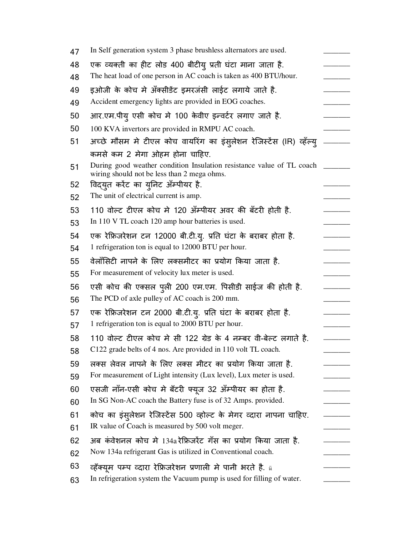| 47 | In Self generation system 3 phase brushless alternators are used.                                                    |  |
|----|----------------------------------------------------------------------------------------------------------------------|--|
| 48 | एक व्यक्ती का हीट लोड 400 बीटीयु प्रती घंटा माना जाता है.                                                            |  |
| 48 | The heat load of one person in AC coach is taken as 400 BTU/hour.                                                    |  |
| 49 | इओजी के कोच मे अँक्सीडेंट इमरजंसी लाईट लगाये जाते है.                                                                |  |
| 49 | Accident emergency lights are provided in EOG coaches.                                                               |  |
| 50 | आर.एम.पीयु एसी कोच मे 100 केवीए इन्वर्टर लगाए जाते है.                                                               |  |
| 50 | 100 KVA invertors are provided in RMPU AC coach.                                                                     |  |
| 51 | अच्छे मौसम मे टीएल कोच वायरिंग का इंसुलेशन रेजिर्स्टेस (IR) व्हॅल्यु                                                 |  |
|    | कमसे कम 2 मेगा ओहम होना चाहिए.                                                                                       |  |
| 51 | During good weather condition Insulation resistance value of TL coach<br>wiring should not be less than 2 mega ohms. |  |
| 52 | विद्युत करेंट का युनिट ॲम्पीयर है.                                                                                   |  |
| 52 | The unit of electrical current is amp.                                                                               |  |
| 53 | 110 वोल्ट टीएल कोच में 120 ॲम्पीयर अवर की बँटरी होती है.                                                             |  |
| 53 | In 110 V TL coach 120 amp hour batteries is used.                                                                    |  |
| 54 | एक रेफ्रिजरेशन टन 12000 बी.टी.यू. प्रति घंटा के बराबर होता है.                                                       |  |
| 54 | 1 refrigeration ton is equal to 12000 BTU per hour.                                                                  |  |
| 55 | वेलाँसिटी नापने के लिए लक्समीटर का प्रयोग किया जाता है.                                                              |  |
| 55 | For measurement of velocity lux meter is used.                                                                       |  |
| 56 | एसी कोच की एक्सल पुली 200 एम.एम. पिसीडी साईज की होती है.                                                             |  |
| 56 | The PCD of axle pulley of AC coach is 200 mm.                                                                        |  |
| 57 | एक रेफ्रिजरेशन टन 2000 बी.टी.यु. प्रति घंटा के बराबर होता है.                                                        |  |
| 57 | 1 refrigeration ton is equal to 2000 BTU per hour.                                                                   |  |
| 58 | 110 वोल्ट टीएल कोच मे सी 122 ग्रेड के 4 नम्बर वी-बेल्ट लगाते है.                                                     |  |
| 58 | C122 grade belts of 4 nos. Are provided in 110 volt TL coach.                                                        |  |
| 59 | लक्स लेवल नापने के लिए लक्स मीटर का प्रयोग किया जाता है.                                                             |  |
| 59 | For measurement of Light intensity (Lux level), Lux meter is used.                                                   |  |
| 60 | एसजी नॉन-एसी कोच मे बॅटरी फ्यूज 32 ॲंम्पीयर का होता है.                                                              |  |
| 60 | In SG Non-AC coach the Battery fuse is of 32 Amps. provided.                                                         |  |
| 61 | कोच का इंसुलेशन रेजिर्स्टेस 500 व्होल्ट के मेगर व्दारा नापना चाहिए.                                                  |  |
| 61 | IR value of Coach is measured by 500 volt meger.                                                                     |  |
| 62 | अब कंवेशनल कोच मे 134a रेफ्रिजरेंट गँस का प्रयोग किया जाता है.                                                       |  |
| 62 | Now 134a refrigerant Gas is utilized in Conventional coach.                                                          |  |
| 63 | व्हॅक्यूम पम्प व्दारा रेफ्रिजरेशन प्रणाली मे पानी भरते है. ü                                                         |  |
| 63 | In refrigeration system the Vacuum pump is used for filling of water.                                                |  |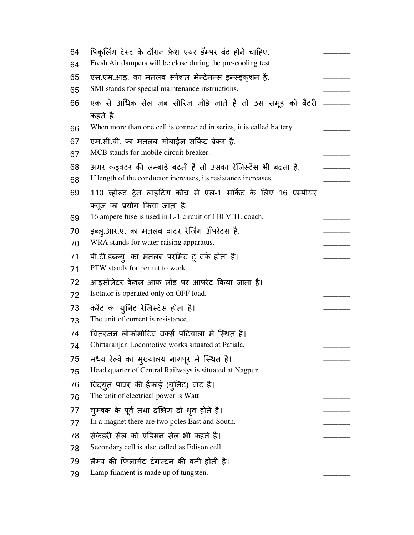| 64 | प्रिकूलिंग टेस्ट के दौरान फ्रेश एयर डँम्पर बंद होने चाहिए.            |  |
|----|-----------------------------------------------------------------------|--|
| 64 | Fresh Air dampers will be close during the pre-cooling test.          |  |
| 65 | एस.एम.आइ. का मतलब स्पेशल मेन्टेनन्स इन्स्ड्क्शन है.                   |  |
| 65 | SMI stands for special maintenance instructions.                      |  |
| 66 | एक से अधिक सेल जब सीरिज जोडे जाते है तो उस समूह को बैटरी<br>कहते है.  |  |
| 66 | When more than one cell is connected in series, it is called battery. |  |
| 67 | एम.सी.बी. का मतलब मोबाईल सर्किट ब्रेकर है.                            |  |
| 67 | MCB stands for mobile circuit breaker.                                |  |
| 68 | अगर कंड्क्टर की लम्बाई बढती है तो उसका रेजिस्टेंस भी बढता है.         |  |
| 68 | If length of the conductor increases, its resistance increases.       |  |
| 69 | 110 व्होल्ट ट्रेन लाइटिंग कोच मे एल-1 सर्किट के लिए 16 एम्पीयर        |  |
|    | फ्यूज का प्रयोग किया जाता है.                                         |  |
| 69 | 16 ampere fuse is used in L-1 circuit of 110 V TL coach.              |  |
| 70 | ड्ब्लु.आर.ए. का मतलब वाटर रेजिंग ॲपरेटस है.                           |  |
| 70 | WRA stands for water raising apparatus.                               |  |
| 71 | पी.टी.डब्ल्यु. का मतलब परमिट टू वर्क होता है।                         |  |
| 71 | PTW stands for permit to work.                                        |  |
| 72 | आइसोलेटर केवल आफ लोड पर आपरेट किया जाता है।                           |  |
| 72 | Isolator is operated only on OFF load.                                |  |
| 73 | करेंट का युनिट रेजिस्टेंस होता है।                                    |  |
| 73 | The unit of current is resistance.                                    |  |
| 74 | चितरंजन लोकोमोटिव वर्क्स पटियाला मे स्थित है।                         |  |
| 74 | Chittaranjan Locomotive works situated at Patiala.                    |  |
| 75 | मध्य रेल्वे का मुख्यालय नागपूर मे स्थित है।                           |  |
| 75 | Head quarter of Central Railways is situated at Nagpur.               |  |
| 76 | विद्युत पावर की ईकाई (युनिट) वाट है।                                  |  |
| 76 | The unit of electrical power is Watt.                                 |  |
| 77 | चुम्बक के पूर्व तथा दक्षिण दो धृव होते है।                            |  |
| 77 | In a magnet there are two poles East and South.                       |  |
| 78 | सेकेंडरी सेल को एडिसन सेल भी कहते है।                                 |  |
| 78 | Secondary cell is also called as Edison cell.                         |  |
| 79 | लैम्प की फिलामेंट टंगस्टन की बनी होती है।                             |  |
| 79 | Lamp filament is made up of tungsten.                                 |  |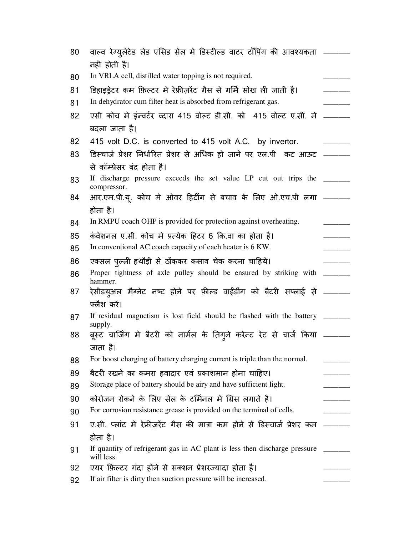| 80 | वाल्व रेग्य्लेटेड लेड एसिड सेल मे डिस्टील्ड वाटर टॉपिंग की आवश्यकता  ———                 |  |
|----|------------------------------------------------------------------------------------------|--|
|    | नही होती है।                                                                             |  |
| 80 | In VRLA cell, distilled water topping is not required.                                   |  |
| 81 | डिहाइड्रेटर कम फ़िल्टर मे रेफ्रीज़रेंट गैस से गर्मि सोख ली जाती है।                      |  |
| 81 | In dehydrator cum filter heat is absorbed from refrigerant gas.                          |  |
| 82 | एसी कोच मे इंन्वर्टर व्दारा 415 वोल्ट डी.सी. को  415 वोल्ट ए.सी. मे  _____               |  |
|    | बदला जाता है।                                                                            |  |
| 82 | 415 volt D.C. is converted to 415 volt A.C. by invertor.                                 |  |
| 83 | डिस्चार्ज प्रेशर निर्धारित प्रेशर से अधिक हो जाने पर एल.पी  कट आऊट                       |  |
|    | से कॉम्प्रेसर बंद होता है।                                                               |  |
| 83 | If discharge pressure exceeds the set value LP cut out trips the _______<br>compressor.  |  |
| 84 | आर.एम.पी.यू. कोच मे ओवर हिटींग से बचाव के लिए ओ.एच.पी लगा _____                          |  |
|    | होता है।                                                                                 |  |
| 84 | In RMPU coach OHP is provided for protection against overheating.                        |  |
| 85 | कंवेशनल ए.सी. कोच मे प्रत्येक हिटर 6 कि.वा का होता है।                                   |  |
| 85 | In conventional AC coach capacity of each heater is 6 KW.                                |  |
| 86 | एक्सल पुल्ली हथौड़ी से ठोंककर कसाव चेक करना चाहिये।                                      |  |
| 86 | Proper tightness of axle pulley should be ensured by striking with<br>hammer.            |  |
| 87 | रेसीडय्अल मैग्नेट नष्ट होने पर फ़ील्ड वाईंडींग को बैटरी सप्लाई से _______                |  |
|    | फ्लैश करें।                                                                              |  |
| 87 | If residual magnetism is lost field should be flashed with the battery _____<br>supply.  |  |
| 88 | बूस्ट चार्जिंग मे बैटरी को नार्मल के तिग्ने करेन्ट रेट से चार्ज किया                     |  |
|    | जाता है।                                                                                 |  |
| 88 | For boost charging of battery charging current is triple than the normal.                |  |
| 89 | बैटरी रखने का कमरा हवादार एवं प्रकाशमान होना चाहिए।                                      |  |
| 89 | Storage place of battery should be airy and have sufficient light.                       |  |
| 90 | कोरोजन रोकने के लिए सेल के टर्मिनल मे ग्रिस लगाते है।                                    |  |
| 90 | For corrosion resistance grease is provided on the terminal of cells.                    |  |
| 91 | ए.सी. प्लांट मे रेफ्रीज़रेंट गैस की मात्रा कम होने से डिस्चार्ज प्रेशर कम                |  |
|    | होता है।                                                                                 |  |
| 91 | If quantity of refrigerant gas in AC plant is less then discharge pressure<br>will less. |  |
| 92 | एयर फ़िल्टर गंदा होने से सक्शन प्रेशरज्यादा होता है।                                     |  |
| 92 | If air filter is dirty then suction pressure will be increased.                          |  |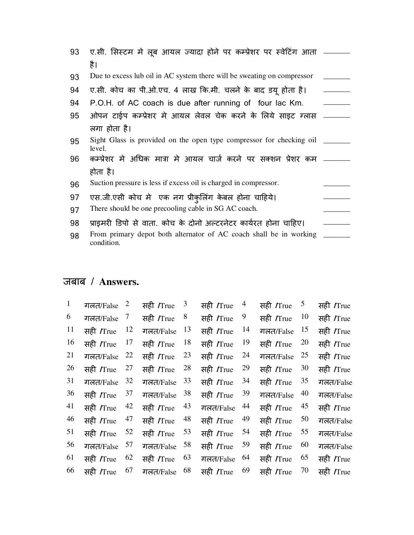| 93 | ए.सी. सिस्टम मे लुब आयल ज्यादा होने पर कम्प्रेशर पर स्वेटिंग आता  —              |  |
|----|----------------------------------------------------------------------------------|--|
|    | है।                                                                              |  |
| 93 | Due to excess lub oil in AC system there will be sweating on compressor          |  |
| 94 | ए.सी. कोच का पी.ओ.एच. 4 लाख कि.मी. चलने के बाद डयू होता है।                      |  |
| 94 | P.O.H. of AC coach is due after running of four lac Km.                          |  |
| 95 | ओपन टाईप कम्प्रेशर मे आयल लेवल चेक करने के लिये साइट ग्लास                       |  |
|    | लगा होता है।                                                                     |  |
| 95 | Sight Glass is provided on the open type compressor for checking oil<br>level.   |  |
| 96 | कम्प्रेशर मे अधिक मात्रा मे आयल चार्ज करने पर सक्शन प्रेशर कम                    |  |
|    | होता है।                                                                         |  |
| 96 | Suction pressure is less if excess oil is charged in compressor.                 |  |
| 97 | एस.जी.एसी कोच मे एक नग प्रीकुलिंग केबल होना चाहिये।                              |  |
| 97 | There should be one precooling cable in SG AC coach.                             |  |
| 98 | प्राइमरी डिपो से वाता. कोच के दोनो अल्टरनेटर कार्यरत होना चाहिए।                 |  |
| 98 | From primary depot both alternator of AC coach shall be in working<br>condition. |  |

| $\mathbf{1}$ | गलत/False         | $\overline{c}$ | सही <i>I</i> True | 3  | सही /True         | 4  | सही <i>I</i> True | 5  | सही <i>l</i> True |
|--------------|-------------------|----------------|-------------------|----|-------------------|----|-------------------|----|-------------------|
| 6            | गलत/False         | 7              | सही <i>I</i> True | 8  | सही <i>I</i> True | 9  | सही /True         | 10 | सही <i>I</i> True |
| 11           | सही <i>l</i> True | 12             | गलत/False         | 13 | सही /True         | 14 | गलत/False         | 15 | सही <i>l</i> True |
| 16           | सही <i>l</i> True | 17             | सही <i>I</i> True | 18 | सही <i>I</i> True | 19 | सही <i>I</i> True | 20 | सही <i>I</i> True |
| 21           | गलत/False         | 22             | सही <i>I</i> True | 23 | सही /True         | 24 | गलत/False         | 25 | सही <i>l</i> True |
| 26           | सही <i>l</i> True | 27             | सही <i>I</i> True | 28 | सही <i>l</i> True | 29 | सही /True         | 30 | सही <i>l</i> True |
| 31           | गलत/False         | 32             | गलत/False         | 33 | सही <i>I</i> True | 34 | सही <i>I</i> True | 35 | गलत/False         |
| 36           | सही <i>I</i> True | 37             | गलत/False         | 38 | सही <i>I</i> True | 39 | गलत/False         | 40 | गलत/False         |
| 41           | सही <i>I</i> True | 42             | सही <i>I</i> True | 43 | गलत/False         | 44 | सही <i>I</i> True | 45 | सही <i>l</i> True |
| 46           | सही <i>l</i> True | 47             | सही <i>I</i> True | 48 | सही /True         | 49 | सही /True         | 50 | गलत/False         |
| 51           | सही <i>l</i> True | 52             | सही <i>I</i> True | 53 | सही <i>I</i> True | 54 | सही <i>I</i> True | 55 | गलत/False         |
| 56           | गलत/False         | 57             | गलत/False         | 58 | सही <i>I</i> True | 59 | सही /True         | 60 | गलत/False         |
| 61           | सही <i>l</i> True | 62             | सही <i>I</i> True | 63 | गलत/False         | 64 | सही /True         | 65 | सही <i>l</i> True |
| 66           | सही <i>l</i> True | 67             | गलत/False         | 68 | सही /True         | 69 | सही <i>I</i> True | 70 | सही <i>l</i> True |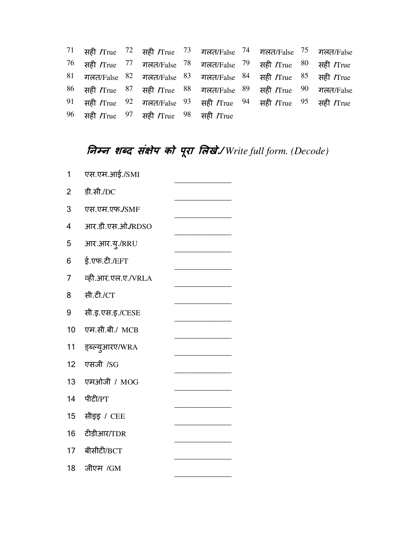|  |                                        | $71$ सही /True $72$ सही /True $73$ गलत/False $74$ गलत/False $75$ गलत/False                                              |  |  |
|--|----------------------------------------|-------------------------------------------------------------------------------------------------------------------------|--|--|
|  |                                        | $76$ सही /True $77$ गलत/False $78$ गलत/False $79$ सही /True $80$ सही /True                                              |  |  |
|  |                                        | <sup>81</sup> गलत/False <sup>82</sup> गलत/False <sup>83</sup> गलत/False <sup>84</sup> सही /True <sup>85</sup> सही /True |  |  |
|  |                                        | <sup>86</sup> सही /True <sup>87</sup> सही /True <sup>88</sup> गलत/False <sup>89</sup> सही /True <sup>90</sup> गलत/False |  |  |
|  |                                        | $91$ सही /True $92$ गलत/False $93$ सही /True $94$ सही /True $95$ सही /True                                              |  |  |
|  | 96 सही /True 97 सही /True 98 सही /True |                                                                                                                         |  |  |

# **नन शद संेप को परा लखे./ ू** *Write full form. (Decode)*

| 1  | एस.एम.आई./SMI      |  |
|----|--------------------|--|
| 2  | डी.सी./DC          |  |
| 3  | एस.एम.एफ./SMF      |  |
| 4  | आर.डी.एस.ओ./RDSO   |  |
| 5  | आर.आर.यु./RRU      |  |
| 6  | ई.एफ.टी./EFT       |  |
| 7  | व्ही.आर.एल.ए./VRLA |  |
| 8  | सी.टी./CT          |  |
| 9  | सी.इ.एस.इ./CESE    |  |
| 10 | एम.सी.बी./ MCB     |  |
| 11 | ड्ब्ल्युआरए/WRA    |  |
| 12 | एसजी /SG           |  |
| 13 | एमओजी / MOG        |  |
| 14 |                    |  |
|    | पीटी/PT            |  |
| 15 | सीइइ / CEE         |  |
| 16 | टीडीआर/TDR         |  |
| 17 | बीसीटी/BCT         |  |
| 18 | जीएम /GM           |  |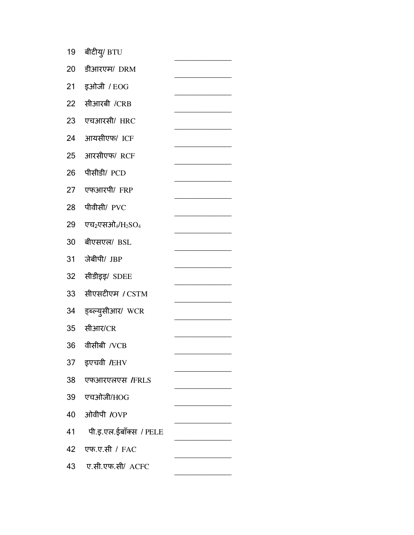| 19 | बीटीय्/ BTU            |  |
|----|------------------------|--|
| 20 | डीआरएम/ DRM            |  |
| 21 | इओजी / EOG             |  |
| 22 | सीआरबी /CRB            |  |
| 23 | एचआरसी/ HRC            |  |
| 24 | आयसीएफ/ ICF            |  |
| 25 | आरसीएफ/ RCF            |  |
| 26 | पीसीडी/ PCD            |  |
| 27 | एफआरपी/FRP             |  |
| 28 | पीवीसी/ PVC            |  |
| 29 | एच2्एसओ $_4$ /H2SO4    |  |
| 30 | बीएसएल/ BSL            |  |
| 31 | जेबीपी/ JBP            |  |
| 32 | सीडीइड़/ SDEE          |  |
| 33 | सीएसटीएम <i>।</i> CSTM |  |
| 34 | ड्ब्ल्युसीआर/ WCR      |  |
| 35 | सीआर/CR                |  |
| 36 | वीसीबी /VCB            |  |
| 37 | इएचवी /EHV             |  |
| 38 | एफआरएलएस /FRLS         |  |
| 39 | एचओजी/HOG              |  |
| 40 | ओवीपी /OVP             |  |
| 41 | पी.इ.एल.ईबॉक्स / PELE  |  |
| 42 | एफ.ए.सी / FAC          |  |
| 43 | ए.सी.एफ.सी/ ACFC       |  |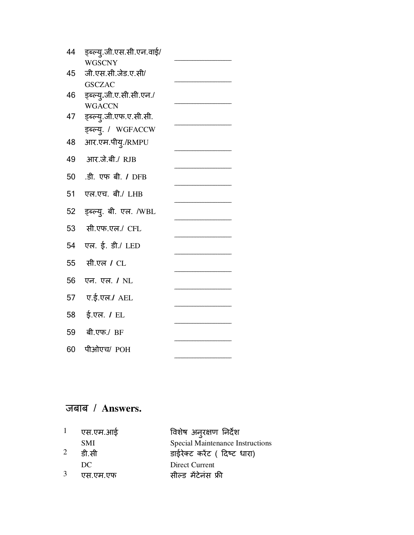| 44 | ड्ब्ल्य्.जी.एस.सी.एन.वाई/ |  |
|----|---------------------------|--|
|    | <b>WGSCNY</b>             |  |
| 45 | जी.एस.सी.जेड.ए.सी/        |  |
|    | <b>GSCZAC</b>             |  |
| 46 | ड्ब्ल्यु.जी.ए.सी.सी.एन./  |  |
|    | <b>WGACCN</b>             |  |
| 47 | ड्ब्ल्य्.जी.एफ.ए.सी.सी.   |  |
|    | इब्ल्य्. / WGFACCW        |  |
| 48 | आर.एम.पीयु./RMPU          |  |
| 49 | आर.जे.बी./ RJB            |  |
| 50 | .डी. एफ बी. / DFB         |  |
|    |                           |  |
| 51 | एल.एच. बी./ LHB           |  |
| 52 | इब्ल्यु. बी. एल. /WBL     |  |
| 53 | सी.एफ.एल./ CFL            |  |
| 54 | एल. ई. डी./ LED           |  |
| 55 | सी.एल / CL                |  |
| 56 | एन. एल. / NL              |  |
| 57 | ए.ई.एल./ AEL              |  |
|    |                           |  |
| 58 | ई.एल. <b>/</b> EL         |  |
| 59 | बी.एफ./ BF                |  |
| 60 | पीओएच/ POH                |  |
|    |                           |  |

| $1$ एस.एम.आई | विशेष अन् <b>रक्षण निर्देश</b>          |
|--------------|-----------------------------------------|
| <b>SMI</b>   | <b>Special Maintenance Instructions</b> |
| डी.सी        | डाईरेक्ट करेंट ( दिष्ट धारा)            |
| DC.          | Direct Current                          |
| एस.एम.एफ     | सील्ड मेंटेनंस फ्री                     |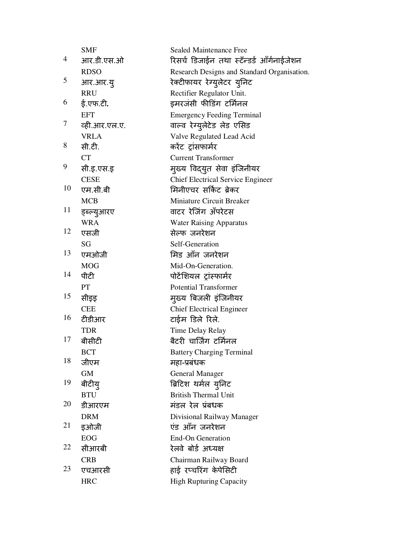|    | <b>SMF</b>    | <b>Sealed Maintenance Free</b>              |
|----|---------------|---------------------------------------------|
| 4  | आर.डी.एस.ओ    | रिसर्च डिजाईन तथा स्टॅन्डर्ड ऑर्गनाईजेशन    |
|    | <b>RDSO</b>   | Research Designs and Standard Organisation. |
| 5  | आर.आर.यू      | रेक्टीफायर रेग्युलेटर युनिट                 |
|    | <b>RRU</b>    | Rectifier Regulator Unit.                   |
| 6  | ई.एफ.टी.      | इमरजंसी फीडिंग टर्मिनल                      |
|    | <b>EFT</b>    | <b>Emergency Feeding Terminal</b>           |
| 7  | व्ही.आर.एल.ए. | वाल्व रेग्युलेटेड लेड एसिड                  |
|    | <b>VRLA</b>   | Valve Regulated Lead Acid                   |
| 8  | सी.टी.        | करेंट ट्रांसफार्मर                          |
|    | <b>CT</b>     | <b>Current Transformer</b>                  |
| 9  | सी.इ.एस.इ     | मुख्य विद्युत सेवा इंजिनीयर                 |
|    | <b>CESE</b>   | <b>Chief Electrical Service Engineer</b>    |
| 10 | एम.सी.बी      | मिनीएचर सर्किट ब्रेकर                       |
|    | <b>MCB</b>    | <b>Miniature Circuit Breaker</b>            |
| 11 | ड्ब्ल्युआरए   | वाटर रेजिंग अँपरेटस                         |
|    | <b>WRA</b>    | <b>Water Raising Apparatus</b>              |
| 12 | एसजी          | सेल्फ जनरेशन                                |
|    | SG            | Self-Generation                             |
| 13 | एमओजी         | मिड आँन जनरेशन                              |
|    | <b>MOG</b>    | Mid-On-Generation.                          |
| 14 | पीटी          | पोटेंशियल ट्रांस्फार्मर                     |
|    | PT            | <b>Potential Transformer</b>                |
| 15 | सीइड़         | मुख्य बिजली इंजिनीयर                        |
|    | <b>CEE</b>    | <b>Chief Electrical Engineer</b>            |
| 16 | टीडीआर        | टाईम डिले रिले.                             |
|    | <b>TDR</b>    | Time Delay Relay                            |
| 17 | बीसीटी        | बैटरी चार्जिंग टर्मिनल                      |
|    | <b>BCT</b>    | <b>Battery Charging Terminal</b>            |
| 18 | जीएम          | महा-प्रबंधक                                 |
|    | <b>GM</b>     | <b>General Manager</b>                      |
| 19 | बीटीय्        | ब्रिटिश थर्मल युनिट                         |
|    | <b>BTU</b>    | <b>British Thermal Unit</b>                 |
| 20 | डीआरएम        | मंडल रेल प्रंबधक                            |
|    | <b>DRM</b>    | Divisional Railway Manager                  |
| 21 | इओजी          | एंड ऑन जनरेशन                               |
|    | <b>EOG</b>    | <b>End-On Generation</b>                    |
| 22 | सीआरबी        | रेलवे बोर्ड अध्यक्ष                         |
|    | <b>CRB</b>    | Chairman Railway Board                      |
| 23 | एचआरसी        | हाई रप्चरिंग केपेसिटी                       |
|    | <b>HRC</b>    | <b>High Rupturing Capacity</b>              |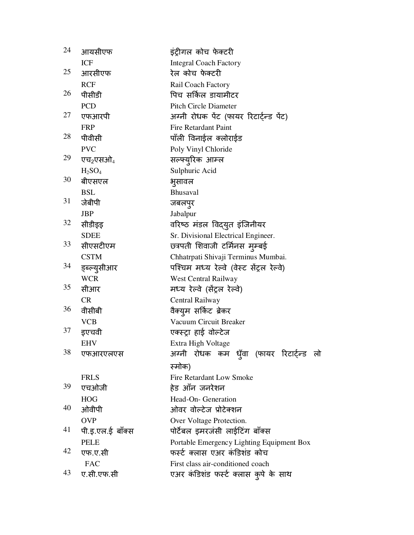| 24 | आयसीएफ                         | इंट्रीगल कोच फेक्टरी                      |
|----|--------------------------------|-------------------------------------------|
|    | <b>ICF</b>                     | <b>Integral Coach Factory</b>             |
| 25 | आरसीएफ                         | रेल कोच फेक्टरी                           |
|    | <b>RCF</b>                     | Rail Coach Factory                        |
| 26 | पीसीडी                         | पिच सर्किल डायामीटर                       |
|    | <b>PCD</b>                     | <b>Pitch Circle Diameter</b>              |
| 27 | एफआरपी                         | अग्नी रोधक पेंट (फायर रिटार्ट्न्ड पेंट)   |
|    | <b>FRP</b>                     | Fire Retardant Paint                      |
| 28 | पीवीसी                         | पाँली विनाईल क्लोराईड                     |
|    | <b>PVC</b>                     | Poly Vinyl Chloride                       |
| 29 | एच2एसओ4                        | सल्फ्युरिक आम्ल                           |
|    | H <sub>2</sub> SO <sub>4</sub> | Sulphuric Acid                            |
| 30 | बीएसएल                         | भूसावल                                    |
|    | <b>BSL</b>                     | Bhusaval                                  |
| 31 | जेबीपी                         | जबलपुर                                    |
|    | <b>JBP</b>                     | Jabalpur                                  |
| 32 | सीडीइइ                         | वरिष्ठ मंडल विद्युत इंजिनीयर              |
|    | <b>SDEE</b>                    | Sr. Divisional Electrical Engineer.       |
| 33 | सीएसटीएम                       | छत्रपती शिवाजी टर्मिनस मुम्बई             |
|    | <b>CSTM</b>                    | Chhatrpati Shivaji Terminus Mumbai.       |
| 34 | ड्ब्ल्यूसीआर                   | पश्चिम मध्य रेल्वे (वेस्ट सेंट्रल रेल्वे) |
|    | <b>WCR</b>                     | <b>West Central Railway</b>               |
| 35 | सीआर                           | मध्य रेल्वे (सेंट्रल रेल्वे)              |
|    | <b>CR</b>                      | Central Railway                           |
| 36 | वीसीबी                         | वैक्युम सर्किट ब्रेकर                     |
|    | <b>VCB</b>                     | Vacuum Circuit Breaker                    |
| 37 | इएचवी                          | एक्स्ट्रा हाई वोल्टेज                     |
|    | <b>EHV</b>                     | Extra High Voltage                        |
| 38 | एफआरएलएस                       | अग्नी रोधक कम ध्ँवा (फायर रिटार्ट्न्ड लो  |
|    |                                | स्मोक)                                    |
|    | <b>FRLS</b>                    | <b>Fire Retardant Low Smoke</b>           |
| 39 | एचओजी                          | हेड ऑन जनरेशन                             |
|    | <b>HOG</b>                     | Head-On- Generation                       |
| 40 | ओवीपी                          | ओवर वोल्टेज प्रोटेक्शन                    |
|    | <b>OVP</b>                     | Over Voltage Protection.                  |
| 41 | पी.इ.एल.ई बाँक्स               | पोर्टेबल इमरजंसी लाईटिंग बाँक्स           |
|    | <b>PELE</b>                    | Portable Emergency Lighting Equipment Box |
| 42 | एफ.ए.सी                        | फर्स्ट क्लास एअर कंडिशंड कोच              |
|    | <b>FAC</b>                     | First class air-conditioned coach         |
| 43 | ए.सी.एफ.सी                     | एअर कंडिशंड फर्स्ट क्लास कुपे के साथ      |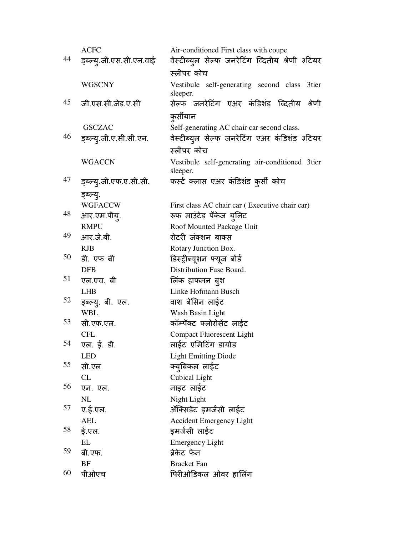|    | <b>ACFC</b>              | Air-conditioned First class with coupe                      |
|----|--------------------------|-------------------------------------------------------------|
| 44 | ड्ब्ल्य्.जी.एस.सी.एन.वाई | वेस्टीब्युल सेल्फ जनरेटिंग व्दितीय श्रेणी ३टियर             |
|    |                          | स्लीपर कोच                                                  |
|    | <b>WGSCNY</b>            | Vestibule self-generating second class<br>3tier             |
| 45 | जी.एस.सी.जेड.ए.सी        | sleeper.<br>सेल्फ जनरेटिंग एअर कंडिशंड व्दितीय              |
|    |                          | श्रेणी                                                      |
|    |                          | कुर्सीयान                                                   |
| 46 | <b>GSCZAC</b>            | Self-generating AC chair car second class.                  |
|    | ड्ब्ल्य्.जी.ए.सी.सी.एन.  | वेस्टीब्युल सेल्फ जनरेटिंग एअर कंडिशंड ३टियर<br>स्लीपर कोच  |
|    |                          |                                                             |
|    | <b>WGACCN</b>            | Vestibule self-generating air-conditioned 3tier<br>sleeper. |
| 47 | ड्ब्ल्य्.जी.एफ.ए.सी.सी.  | फर्स्ट क्लास एअर कंडिशंड कुर्सी कोच                         |
|    | इब्ल्यू.                 |                                                             |
|    | <b>WGFACCW</b>           | First class AC chair car (Executive chair car)              |
| 48 | आर.एम.पीय्.              | रूफ माउंटेड पॅकेज युनिट                                     |
|    | <b>RMPU</b>              | Roof Mounted Package Unit                                   |
| 49 | आर.जे.बी.                | रोटरी जंक्शन बाक्स                                          |
|    | <b>RJB</b>               | Rotary Junction Box.                                        |
| 50 | डी. एफ बी                | डिस्ट्रीब्यूशन फ्यूज बोर्ड                                  |
|    | <b>DFB</b>               | Distribution Fuse Board.                                    |
| 51 | एल.एच. बी                | लिक हाफमन बुश                                               |
| 52 | <b>LHB</b>               | Linke Hofmann Busch                                         |
|    | ड्ब्ल्यु. बी. एल.        | वाश बेसिन लाईट                                              |
| 53 | <b>WBL</b><br>सी.एफ.एल.  | Wash Basin Light                                            |
|    | CFL                      | कॉम्पॅक्ट फ्लोरोसेंट लाईट                                   |
| 54 | एल. ई. डी.               | <b>Compact Fluorescent Light</b><br>लाईट एमिटिंग डायोड      |
|    | <b>LED</b>               | <b>Light Emitting Diode</b>                                 |
| 55 | सी.एल                    | क्युबिकल लाईट                                               |
|    | CL                       | <b>Cubical Light</b>                                        |
| 56 | एन. एल.                  | नाइट लाईट                                                   |
|    | NL                       | Night Light                                                 |
| 57 | ए.ई.एल.                  | ॲक्सिडेंट इमर्जसी लाईट                                      |
|    | <b>AEL</b>               | <b>Accident Emergency Light</b>                             |
| 58 | ई.एल.                    | इमर्जसी लाईट                                                |
|    | <b>EL</b>                | <b>Emergency Light</b>                                      |
| 59 | बी.एफ.                   | ब्रेकेट फेन                                                 |
| 60 | <b>BF</b>                | <b>Bracket Fan</b>                                          |
|    | पीओएच                    | पिरीओडिकल ओवर हालिंग                                        |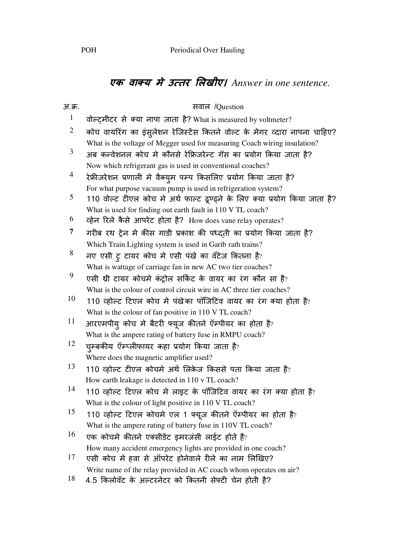## एक वाक्य में उत्तर लिखीए। Answer in one sentence.

| अ.क्र.       | सवाल /Question                                                             |
|--------------|----------------------------------------------------------------------------|
| $\mathbf{1}$ | वोल्ट्मीटर से क्या नापा जाता है? What is measured by voltmeter?            |
| 2            | कोच वायरिंग का इंसुलेशन रेजिस्टेंस कितने वोल्ट के मेगर व्दारा नापना चाहिए? |
|              | What is the voltage of Megger used for measuring Coach wiring insulation?  |
| 3            | अब कन्वेशनल कोच मे कौनसे रेफ्रिजरेन्ट ग़ॅस का प्रयोग किया जाता है?         |
|              | Now which refrigerant gas is used in conventional coaches?                 |
| 4            | रेफ्रीजरेशन प्रणाली मे वैक्युम पम्प किसलिए प्रयोग किया जाता है?            |
|              | For what purpose vacuum pump is used in refrigeration system?              |
| 5            | 110 वोल्ट टीएल कोच मे अर्थ फाल्ट ढूण्ढ्ने के लिए क्या प्रयोग किया जाता है? |
|              | What is used for finding out earth fault in 110 V TL coach?                |
| 6            | व्हेन रिले कैसे आपरेट होता है? How does vane relay operates?               |
| 7            | गरीब रथ ट्रेन मे कीस गाडी प्रकाश की पध्दती का प्रयोग किया जाता है?         |
|              | Which Train Lighting system is used in Garib rath trains?                  |
| 8            | नए एसी ट्र टायर कोच मे एसी पंखे का वॅटेज कितना है?                         |
|              | What is wattage of carriage fan in new AC two tier coaches?                |
| 9            | एसी थ्री टायर कोचमे कंट्रोल सर्किट के वायर का रंग कौन सा है?               |
|              | What is the colour of control circuit wire in AC three tier coaches?       |
| 10           | 110 व्होल्ट टिएल कोच मे पंखेका पॉजिटिव वायर का रंग क्या होता है?           |
|              | What is the colour of fan positive in 110 V TL coach?                      |
| 11           | आरएमपीय् कोच मे बैटरी फ्यूज कीतने ऍम्पीयर का होता है?                      |
|              | What is the ampere rating of battery fuse in RMPU coach?                   |
| 12           | च्म्बकीय ऍम्प्लीफायर कहा प्रयोग किया जाता है?                              |
|              | Where does the magnetic amplifier used?                                    |
| 13           | 110 व्होल्ट टीएल कोचमे अर्थ लिकेज किससे पता किया जाता है?                  |
|              | How earth leakage is detected in 110 v TL coach?                           |
| 14           | 110 व्होल्ट टिएल कोच मे लाइट के पॉजिटिव वायर का रंग क्या होता है?          |
|              | What is the colour of light positive in 110 V TL coach?                    |
| 15           | 110 व्होल्ट टिएल कोचमे एल 1 फ्यूज कीतने ऍम्पीयर का होता है?                |
|              | What is the ampere rating of battery fuse in 110V TL coach?                |
| 16           | एक कोचमे कीतने एक्सीडेंट इमरजंसी लाईट होते है?                             |
|              | How many accident emergency lights are provided in one coach?              |
| 17           | एसी कोच में हवा से ऑपरेट होनेवाले रीले का नाम लिखिए?                       |
|              | Write name of the relay provided in AC coach whom operates on air?         |
| 18           | 4.5 किलोवॅट के अल्टरनेटर को कितनी सेफ्टी चेन होती है?                      |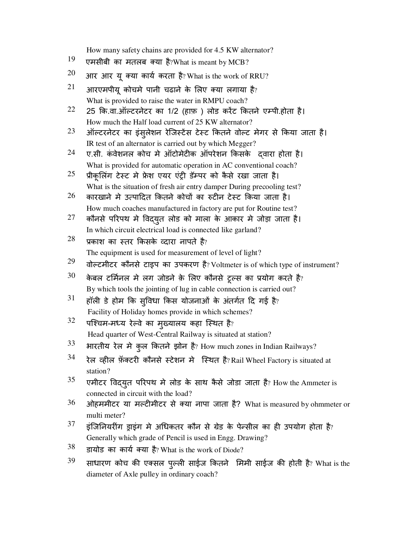How many safety chains are provided for 4.5 KW alternator?

- $19$  एमसीबी का मतलब क्या है?What is meant by MCB?
- $20$  आर आर यू क्या कार्य करता है? What is the work of RRU?
- $21$  आरएमपीयू कोचमे पानी चढाने के लिए क्या लगाया है? What is provided to raise the water in RMPU coach?
- $22$  25 कि.वा.ऑल्टरनेटर का 1/2 (हाफ़) लोड करेंट कितने एम्पी.होता है। How much the Half load current of 25 KW alternator?
- $23$  ऑल्टरनेटर का इंस्*लेशन रेजिस्टेंस टेस्ट कितने वोल्ट मेगर से किया जाता है।* IR test of an alternator is carried out by which Megger?
- $24$  ए.सी. कंवेशनल कोच मे ऑटोमेटीक ऑपरेशन किसके दवारा होता है। What is provided for automatic operation in AC conventional coach?
- $25$  प्रीकूलिंग टेस्ट मे फ्रेश एयर एंट्री डॅम्पर को कैसे रखा जाता है। What is the situation of fresh air entry damper During precooling test?
- $^{26}$   $\,$  कारखाने मे उत्पादित कितने कोचों का रुटीन टेस्ट किया जाता है। How much coaches manufactured in factory are put for Routine test?
- $27$  कौनसे परिपथ मे विद्युत लोड को माला के आकार मे जोड़ा जाता है। In which circuit electrical load is connected like garland?
- $^{28}$  प्रकाश का स्तर किसके व्दारा नापते है? The equipment is used for measurement of level of light?
- $29$  वोल्टमीटर कौनसे टाइप का उपकरण है? Voltmeter is of which type of instrument?
- $30$  केबल टर्मिनल मे लग जोडने क़े लिए कौनसे ट्रल्स का प्रयोग करते है? By which tools the jointing of lug in cable connection is carried out?
- $31$  हॉली डे होम कि सुविधा किस योजनाओं के अंतर्गत दि गई है? Facility of Holiday homes provide in which schemes?
- $32$ पश्चिम-मध्य रेल्वे का मुख्यालय कहा स्थित है? Head quarter of West-Central Railway is situated at station?
- $33$  भारतीय रेल मे कुल कितने झोन है? How much zones in Indian Railways?
- $34$  रेल व्हील फ़ॅक्टरी कौनसे स्टेशन मे स्थित है? Rail Wheel Factory is situated at station?
- $35$  एमीटर विद्युत परिपथ मे लोड के साथ कैसे जोडा जाता है? How the Ammeter is connected in circuit with the load?
- $36$  ओहममीटर या मल्टीमीटर से क्या नापा जाता है? What is measured by ohmmeter or multi meter?
- $37$  इंजिनियरींग ड्राइंग मे अधिकतर कौन से ग्रेड के पेन्सील का ही उपयोग होता है? Generally which grade of Pencil is used in Engg. Drawing?
- $38$  डायोड का कार्य क्या है? What is the work of Diode?
- $39$  साधारण कोच की एक्सल पुल्ली साईज कितने मिमी साईज की होती है? What is the diameter of Axle pulley in ordinary coach?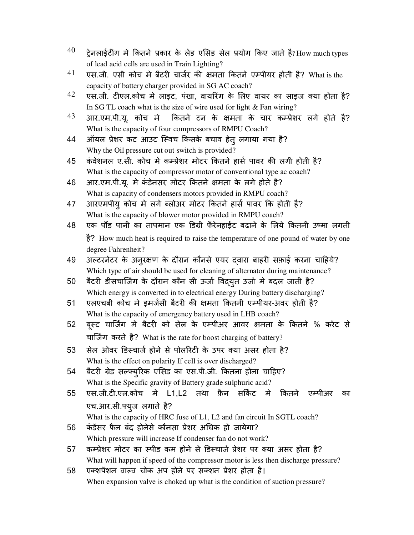- $^{40}$  टेनलाईटींग मे कितने प्रकार के लेड एसिड सेल प्रयोग किए जाते है? $_{\rm{How~much~types}}$ of lead acid cells are used in Train Lighting?
- $41$  एस.जी. एसी कोच मे बैटरी चार्जर की क्षमता कितने एम्पीयर होती है? What is the capacity of battery charger provided in SG AC coach?
- $42$  एस.जी. टीएल.कोच मे लाइट, पंखा, वायरिंग के लिए वायर का साइज क्या होता है? In SG TL coach what is the size of wire used for light & Fan wiring?
- $43$  आर.एम.पी.यू. कोच मे कितने टन के क्षमता के चार कम्प्रेशर लगे होते है? What is the capacity of four compressors of RMPU Coach?
- 44 ऑयल प्रेशर कट आउट स्विच किसके बचाव हेतू लगाया गया है? Why the Oil pressure cut out switch is provided?
- 45 कंवेशनल ए.सी. कोच मे कम्प्रेशर मोटर कितने हार्स पावर की लगी होती है? What is the capacity of compressor motor of conventional type ac coach?
- 46 आर.एम.पी.यू. मे कंडेनसर मोटर कितने क्षमता के लगे होते है? What is capacity of condensers motors provided in RMPU coach?
- 47 आरएमपीय् कोच मे लगे ब्लोअर मोटर कितने हार्स पावर कि होती है? What is the capacity of blower motor provided in RMPU coach?
- 48 एक पौंड पानी का तापमान एक डिग्री फँरेनहाईट बढाने के लिये कितनी उष्मा लगती है? How much heat is required to raise the temperature of one pound of water by one degree Fahrenheit?
- 49 अल्टरनेटर के अनुरक्षण के दौरान कौनसे एयर दवारा बाहरी सफ़ाई करना चाहिये? Which type of air should be used for cleaning of alternator during maintenance?
- 50 बैटरी डीसचार्जिंग के दौरान कौन सी ऊर्जा विदयुत उर्जा मे बदल जाती है? Which energy is converted in to electrical energy During battery discharging?
- 51 एलएचबी कोच मे इमर्जसी बैटरी की क्षमता कितनी एम्पीयर-अवर होती है? What is the capacity of emergency battery used in LHB coach?
- 52 बुस्ट चार्जिंग मे बैटरी को सेल के एम्पीअर आवर क्षमता के कितने % करेंट से चार्जिंग करते है? What is the rate for boost charging of battery?
- 53 सेल ओवर डिस्चार्ज होने से पोलरिटी के उपर क्या असर होता है? What is the effect on polarity If cell is over discharged?
- 54 बैटरी ग्रेड सल्फ्यूरिक एसिड का एस.पी.जी. कितना होना चाहिए? What is the Specific gravity of Battery grade sulphuric acid?
- 55 एस.जी.टी.एल.कोच मे L1,L2 तथा फ़ैन सकिट मे कितने एम्पीअर का एच.आर.सी.6युज लगाते है?
- What is the capacity of HRC fuse of L1, L2 and fan circuit In SGTL coach? 56 कंडेंसर फैन बंद होनेसे कौनसा प्रेशर अधिक हो जायेगा?

Which pressure will increase If condenser fan do not work?

- 57 कम्प्रेशर मोटर का स्पीड कम होने से डिस्चार्ज प्रेशर पर क्या असर होता है? What will happen if speed of the compressor motor is less then discharge pressure?
- 58 एक्शपेंशन वाल्व चोक अप होने पर सक्शन प्रेशर होता है। When expansion valve is choked up what is the condition of suction pressure?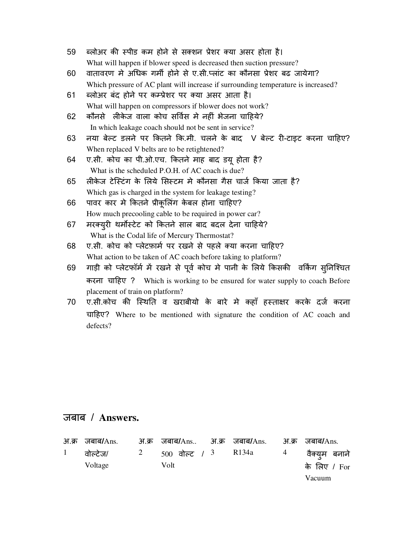| 59 | ब्लोअर की स्पीड कम होने से सक्शन प्रेशर क्या असर होता है।            |
|----|----------------------------------------------------------------------|
|    | What will happen if blower speed is decreased then suction pressure? |

- 60 वातावरण मे अधिक गर्मी होने से ए.सी.प्लांट का कौनसा प्रेशर बढ जायेगा? Which pressure of AC plant will increase if surrounding temperature is increased?
- 61 ब्लोअर बंद होने पर कम्प्रेशर पर क्या असर आता है। What will happen on compressors if blower does not work?
- 62 कौनसे लीकेज वाला कोच सर्विस मे नहीं भेजना चाहिये? In which leakage coach should not be sent in service?
- 63 नया बेल्ट डलने पर कितने कि.मी. चलने के बाद V बेल्ट री-टाइट करना चाहिए? When replaced V belts are to be retightened?
- 64 ए.सी. कोच का पी.ओ.एच. कितने माह बाद डयू होता है? What is the scheduled P.O.H. of AC coach is due?
- 65 लीकेज टेस्टिंग के लिये सिस्टम मे कौनसा गैस चार्ज किया जाता है? Which gas is charged in the system for leakage testing?
- 66 पावर कार मे कितने प्रीकूलिंग केबल होना चाहिए? How much precooling cable to be required in power car?
- 67 मरक्युरी थर्मोस्टेट को कितने साल बाद बदल देना चाहिये? What is the Codal life of Mercury Thermostat?
- 68 ए.सी. कोच को प्लेटफ़ार्म पर रखने से पहले क्या करना चाहिए? What action to be taken of AC coach before taking to platform?
- 69 गाड़ी को प्लेटफॉर्म में रखने से पूर्व कोच मे पानी के लिये किसकी वर्किंग सुनिश्चित करना चा.हए ? Which is working to be ensured for water supply to coach Before placement of train on platform?
- 70 ए.सी.कोच की स्थिति व खराबीयो के बारे मे कहाँ हस्ताक्षर करके दर्ज करना चा.हए? Where to be mentioned with signature the condition of AC coach and defects?

| अ.क्र जबाब/Ans.                                  | अ.क्र जबाब/Ans अ.क्र जबाब/Ans. अ.क्र जबाब/Ans. |  |               |
|--------------------------------------------------|------------------------------------------------|--|---------------|
| 1 वोल्टेज/ 2 500 वोल्ट / 3 R134a 4 वैक्यूम बनाने |                                                |  |               |
| Voltage                                          | Volt                                           |  | के लिए / For  |
|                                                  |                                                |  | <b>Vacuum</b> |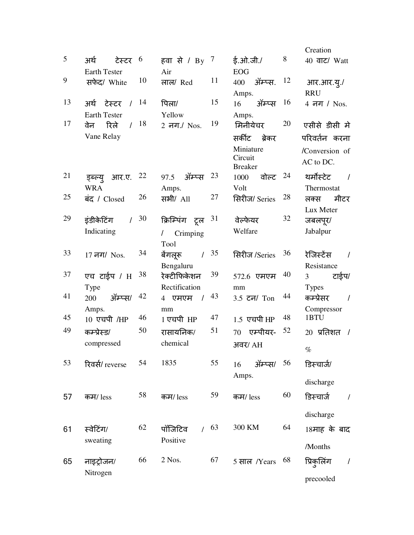|    |                                 |    |                           |    |                                 |     | Creation                        |
|----|---------------------------------|----|---------------------------|----|---------------------------------|-----|---------------------------------|
| 5  | अर्थ<br>टेस्टर $6$              |    | हवा से / By $^7$          |    | ई.ओ.जी./                        | 8   | 40 वाट/ Watt                    |
|    | <b>Earth Tester</b>             |    | Air                       |    | <b>EOG</b>                      |     |                                 |
| 9  | सफेद/ White                     | 10 | लाल/ Red                  | 11 | ॲम्प्स.<br>400                  | -12 | आर.आर.यू./                      |
|    |                                 |    |                           |    | Amps.                           |     | <b>RRU</b>                      |
| 13 | अर्थ टेस्टर /                   | 14 | पिला/                     | 15 | ऑम्प्स $16$<br>16               |     | 4 नग / Nos.                     |
|    | <b>Earth Tester</b>             |    | Yellow                    |    | Amps.                           |     |                                 |
| 17 | रिले<br>$\prime$<br>वेन         | 18 | 2 नग./ Nos.               | 19 | मिनीयेचर                        | 20  | एसीसे डीसी मे                   |
|    | Vane Relay                      |    |                           |    | सर्कीट<br>बेकर                  |     | परिवर्तन करना                   |
|    |                                 |    |                           |    | Miniature                       |     | /Conversion of                  |
|    |                                 |    |                           |    | Circuit                         |     | AC to DC.                       |
| 21 |                                 | 22 | ऑम्प्स $23$<br>97.5       |    | <b>Breaker</b><br>वोल्ट<br>1000 | 24  | थर्मोस्टेट<br>$\sqrt{ }$        |
|    | आर.ए.<br>ड्ब्ल्यु<br><b>WRA</b> |    | Amps.                     |    | Volt                            |     | Thermostat                      |
| 25 | बंद / Closed                    | 26 | सभी/ All                  | 27 | सिरीज/ Series                   | 28  | मीटर<br>लक्स                    |
|    |                                 |    |                           |    |                                 |     | Lux Meter                       |
| 29 | इंडीकेटिंग<br>$\prime$          | 30 | क्रिम्पिंग टूल            | 31 | वेल्फेयर                        | 32  | जबलपूर/                         |
|    | Indicating                      |    | Crimping<br>$\frac{1}{2}$ |    | Welfare                         |     | Jabalpur                        |
|    |                                 |    | Tool                      |    |                                 |     |                                 |
| 33 | 17 नग/ Nos.                     | 34 | बेंगलूरू<br>$\prime$      | 35 | सिरीज /Series                   | 36  | रेजिस्टेंस<br>$\prime$          |
|    |                                 |    | Bengaluru                 |    |                                 |     | Resistance                      |
| 37 | एच टाईप / H                     | 38 | रेक्टीफिकेशन              | 39 | 572.6 एमएम                      | 40  | टाईप/<br>$\overline{3}$         |
|    | Type                            |    | Rectification             |    | mm                              |     | <b>Types</b>                    |
| 41 | ॲम्प्स/<br>200                  | 42 | $4$ एमएम $/$              | 43 | 3.5 टन/ Ton                     | 44  | कम्प्रेसर<br>$\prime$           |
|    | Amps.                           |    | mm                        |    |                                 |     | Compressor                      |
| 45 | $10$ एचपी /HP                   | 46 | 1 एचपी HP                 | 47 | $1.5$ एचपी $HP$                 | 48  | 1BTU                            |
| 49 | कम्प्रेस्ड/                     | 50 | रासायनिक/                 | 51 | एम्पीयर-<br>70                  | 52  | $20\;$ प्रतिशत<br>$\frac{1}{2}$ |
|    | compressed                      |    | chemical                  |    | अवर/ AH                         |     | $\%$                            |
|    |                                 | 54 |                           |    |                                 |     |                                 |
| 53 | रिवर्स/ reverse                 |    | 1835                      | 55 | ॲम्प्स/<br>16                   | 56  | डिस्चार्ज/                      |
|    |                                 |    |                           |    | Amps.                           |     | discharge                       |
| 57 | कम/ less                        | 58 | कम/ less                  | 59 | कम/ less                        | 60  | डिस्चार्ज<br>$\prime$           |
|    |                                 |    |                           |    |                                 |     |                                 |
|    |                                 |    |                           |    |                                 |     | discharge                       |
| 61 | स्वेटिंग/                       | 62 | पॉजिटिव                   | 63 | 300 KM                          | 64  | 18माह के बाद                    |
|    | sweating                        |    | Positive                  |    |                                 |     |                                 |
|    |                                 |    |                           |    |                                 |     | /Months                         |
| 65 | नाइट्रोजन/                      | 66 | 2 Nos.                    | 67 | 5 साल /Years                    | 68  | प्रिकुलिंग<br>$\prime$          |
|    | Nitrogen                        |    |                           |    |                                 |     |                                 |
|    |                                 |    |                           |    |                                 |     | precooled                       |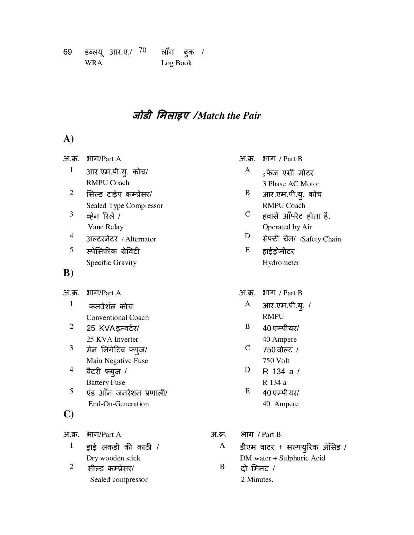| 69 |            | डब्लयू आर.ए./ $70\,$ | लॉग बुक <sup>,</sup> |  |
|----|------------|----------------------|----------------------|--|
|    | <b>WRA</b> |                      | Log Book             |  |

## **जोडी मलाइए /** *Match the Pair*

#### **A)**

| अ.क्र.         | भाग/Part A                |        | अ.क्र.      | भाग / Part B       |
|----------------|---------------------------|--------|-------------|--------------------|
| 1              | आर.एम.पी.यु. कोच/         |        | A           | $_3$ फेज एसी मं    |
|                | <b>RMPU Coach</b>         |        |             | 3 Phase AC N       |
| $\overline{2}$ | सिल्ड टाईप कम्प्रेसर/     |        | B           | आर.एम.पी.यू        |
|                | Sealed Type Compressor    |        |             | <b>RMPU Coacl</b>  |
| 3              | व्हेन रिले /              |        | $\mathbf C$ | हवासे आँपरेट       |
|                | Vane Relay                |        |             | Operated by /      |
| 4              | अल्टरनेटर / Alternator    |        | D           | सेफ्टी चेन/ /९     |
| 5              | स्पेसिफीक ग्रेविटी        |        | E           | हाईड्रोमीटर        |
|                | Specific Gravity          |        |             | Hydrometer         |
| $\bf{B})$      |                           |        |             |                    |
| अ.क्र.         | भाग/Part A                |        | अ.क्र.      | भाग / Part B       |
| $\mathbf{1}$   | कनवेशंल कोच               |        | A           | आर.एम.पी.यू        |
|                | <b>Conventional Coach</b> |        |             | <b>RMPU</b>        |
| $\overline{2}$ | 25 KVA इन्वर्टर/          |        | B           | 40 एम्पीयर/        |
|                | 25 KVA Inverter           |        |             | 40 Ampere          |
| 3              | मेन निगेटिव फ्यूज/        |        | $\mathbf C$ | 750 वोल्ट /        |
|                | Main Negative Fuse        |        |             | <b>750 Volt</b>    |
| 4              | बैटरी फ्युज /             |        | D           | R 134 a /          |
|                | <b>Battery Fuse</b>       |        |             | R 134 a            |
| 5              | एंड आँन जनरेशन प्रणाली/   |        | E           | 40 एम्पीयर/        |
|                | End-On-Generation         |        |             | 40 Ampere          |
| $\mathbf{C}$   |                           |        |             |                    |
| अ.क्र.         | भाग/ $Part A$             | अ.क्र. |             | भाग / Part B       |
| $\mathbf{1}$   | ड्राई लकडी की काठी /      | A      |             | डीएम वाटर + सल्फ्र |
|                | Dry wooden stick          |        |             | DM water + Sulphur |
| $\overline{2}$ | सील्ड कम्प्रेसर/          | B      | दो मिनट /   |                    |

Sealed compressor

|              | अ.क्र.   भाग  / Part B    |
|--------------|---------------------------|
| $\mathbf{A}$ | <sub>२</sub> फेज एसी मोटर |
|              | 3 Phase AC Motor          |

- B आर.एम.पी.यु. कोच RMPU Coach
- C हवासे आँपरेट होता है. Operated by Air
- $D$  सेफ्टी चेन/ /Safety Chain
- $E$  हाईड्रोमीटर Hydrometer
- - $A$  आर.एम.पी.यु. / RMPU
	- $B = 40$  एम्पीयर/
		- 40 Ampere
	- $C$  750 वोल्ट / 750 Volt
	- D R 134 a / R 134 a
	- $E = 40$  एम्पीयर/ 40 Ampere
- $A$   $\beta$ रिम वाटर + सल्फ्युरिक अँसिड / DM water + Sulphuric Acid  $B$  दो मिनट / 2 Minutes.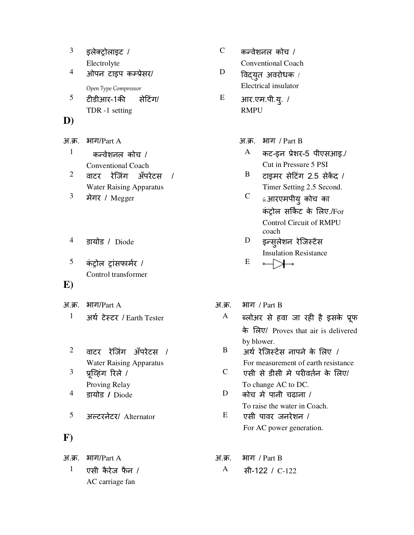|    | इलेक्ट्रोलाइट /                                                 |
|----|-----------------------------------------------------------------|
| 4  | Electrolyte<br>ओपन टाइप कम्प्रेसर/                              |
| 5  | Open Type Compressor<br>टीडीआर-1की<br>सेटिंग/<br>TDR -1 setting |
| D) |                                                                 |

 $^1$  कन्वेशनल कोच / Conventional Coach  $2$  वाटर रेजिंग अँपरेटस / Water Raising Apparatus

- 
- $5$  कंट्रोल ट्रांसफार्मर / Control transformer

#### **E)**

अ.क्र. भाग/Part A  $\overline{31.}$  अ.क. भाग / Part B

- $2$  वाटर रेजिंग अँपरेटस / Water Raising Apparatus  $3$  प्रूव्हिंग रिले /
- Proving Relay
- $^5$  अल्टरनेटर/ Alternator  $^E$  एसी पावर जनरेशन /

#### **F)**

 $1$  एसी कैरेज फैन / AC carriage fan

- $C = \frac{1}{2}$ कन्वेशनल कोच / Conventional Coach  $D$  विद्युत अवरोधक / Electrical insulator
- E आर.एम.पी.यु. / RMPU
- अ.क्र. भाग/Part A  $\overline{3}$ , भाग / Part B
	- $A$  कट-इन प्रेशर-5 पीएसआइ./ Cut in Pressure 5 PSI
	- $B$  टाइमर सेटिंग 2.5 सेकेंद / Timer Setting 2.5 Second.
	- $3$  मेगर / Megger  $\hspace{1.6cm}$   $\hspace{1.6cm}$   $\hspace{1.6cm}$   $\hspace{1.6cm}$   $\hspace{1.6cm}$   $\hspace{1.6cm}$   $\hspace{1.6cm}$   $\hspace{1.6cm}$   $\hspace{1.6cm}$   $\hspace{1.6cm}$   $\hspace{1.6cm}$   $\hspace{1.6cm}$   $\hspace{1.6cm}$   $\hspace{1.6cm}$   $\hspace{1.6cm}$   $\hspace{1.6cm}$   $\hspace{1.6cm}$ कंट्रोल सर्किट के लिए./For Control Circuit of RMPU coach
	- $^4$  sायोड / Diode D इन्सुलेशन रेजिस्टेंस Insulation Resistance E ┙┹

- <sup>1</sup> अर्थ टेस्टर / Earth Tester  $\overline{A}$  ब्लोअर से हवा जा रही है इसके प्रूफ के Iलए/ Proves that air is delivered by blower.
	- $B$  अर्थ रेजिस्टेंस नापने के लिए / For measurement of earth resistance
	- $C$  एसी से डीसी मे परीवर्तन के लिए/ To change AC to DC.
- $^4$  sायोड / Diode  $^1$  D कोच मे पानी चढाना / To raise the water in Coach.
	- For AC power generation.

#### अ.क. भाग/Part A  $\overline{31.}$  अ.क. भाग / Part B

A सी-122 / C-122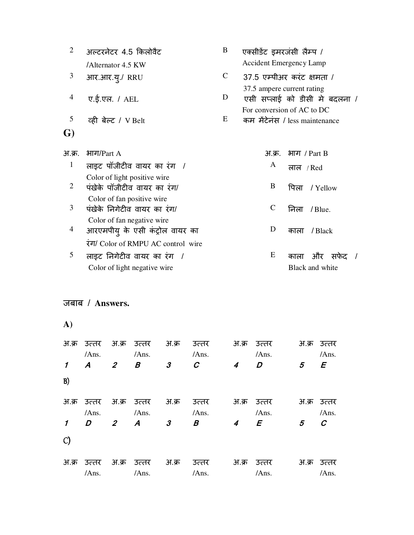| $\overline{2}$ | अल्टरनेटर 4.5 किलोवैट                                         | B            | एक्सीडेंट इमरजंसी लैम्प /                                                                 |
|----------------|---------------------------------------------------------------|--------------|-------------------------------------------------------------------------------------------|
|                | /Alternator 4.5 KW                                            |              | <b>Accident Emergency Lamp</b>                                                            |
| 3              | आर.आर.यू./ RRU                                                | $\mathsf{C}$ | $37.5$ एम्पीअर करंट क्षमता /                                                              |
| 4              | ए.ई.एल. / AEL                                                 | D            | 37.5 ampere current rating<br>एसी सप्लाई को डीसी मे बदलना /<br>For conversion of AC to DC |
| 5              | व्ही बेल्ट / V Belt                                           | E            | कम मेंटेनंस / less maintenance                                                            |
| G)             |                                                               |              |                                                                                           |
| अ.क्र.         | भाग/ $Part A$                                                 |              | भाग <i>/ Part B</i><br>अ.क्र.                                                             |
| 1              | लाइट पॉजीटीव वायर का रंग /                                    |              | A<br>लाल $/$ Red                                                                          |
| $\overline{2}$ | Color of light positive wire<br>पंखेके पॉजीटीव वायर का रंग/   |              | B<br>पिला<br>/ Yellow                                                                     |
| 3              | Color of fan positive wire<br>पंखेके निगेटीव वायर का रंग/     |              | $\mathsf{C}$<br>निला<br>$/$ Blue.                                                         |
| 4              | Color of fan negative wire<br>आरएमपीय् के एसी कंट्रोल वायर का |              | D<br>/ Black<br>काला                                                                      |
|                | रंग/ Color of RMPU AC control wire                            |              |                                                                                           |
| 5              | लाइट निगेटीव वायर का रंग /<br>Color of light negative wire    |              | E<br>और<br>काला<br>सफेट<br>Black and white                                                |
|                |                                                               |              |                                                                                           |

| A)                         |                  |                |                  |                      |                  |                |                |       |                |
|----------------------------|------------------|----------------|------------------|----------------------|------------------|----------------|----------------|-------|----------------|
| अ.क्र                      | उत्तर<br>/Ans.   | अ.क्र          | उत्तर<br>/Ans.   | अ.क्र                | उत्तर<br>/Ans.   | अ.क्र          | उत्तर<br>/Ans. | अ.क्र | उत्तर<br>/Ans. |
| $\boldsymbol{\mathcal{I}}$ | $\boldsymbol{A}$ | $\overline{2}$ | B                | 3                    | $\boldsymbol{C}$ | 4              | D              | 5     | E              |
| B)                         |                  |                |                  |                      |                  |                |                |       |                |
| अ.क्र                      | उत्तर            | अ.क्र          | उत्तर            | अ.क्र                | उत्तर            | अ.क्र          | उत्तर          |       | अ.क्र उत्तर    |
|                            | /Ans.            |                | /Ans.            |                      | /Ans.            |                | /Ans.          |       | /Ans.          |
| $\boldsymbol{\prime}$      | D                | $\overline{2}$ | $\boldsymbol{A}$ | $\boldsymbol{\beta}$ | Β                | $\overline{4}$ | $\mathbf{F}$   | 5     | C              |
| $\mathcal{C}$              |                  |                |                  |                      |                  |                |                |       |                |
| अ.क्र                      | उत्तर            | अ.क्र          | उत्तर            | अ.क्र                | उत्तर            | अ.क्र          | उत्तर          | अ.क्र | उत्तर          |
|                            | /Ans.            |                | /Ans.            |                      | /Ans.            |                | /Ans.          |       | /Ans.          |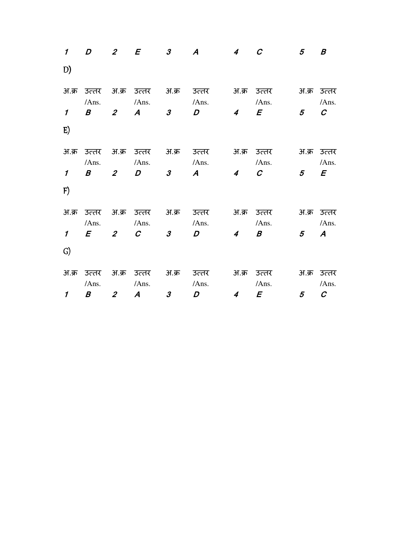| $\boldsymbol{\prime}$ | $\overline{D}$       |                | 2 $E$ 3     | $\boldsymbol{A}$                 | $\overline{4}$ | $\mathcal C$         | 5 <sup>5</sup> | B                    |
|-----------------------|----------------------|----------------|-------------|----------------------------------|----------------|----------------------|----------------|----------------------|
| D)                    |                      |                |             |                                  |                |                      |                |                      |
|                       | अ.क्र उत्तर<br>/Ans. |                | /Ans.       | अ.क्र उत्तर अ.क्र उत्तर<br>/Ans. |                | अ.क्र उत्तर<br>/Ans. |                | अ.क्र उत्तर<br>/Ans. |
| $\mathbf{1}$          | $\mathbf{B}$ 2       |                | $A$ 3       | $\overline{D}$                   | $\overline{4}$ | $\overline{E}$       | $\overline{5}$ | $\boldsymbol{C}$     |
| E)                    |                      |                |             |                                  |                |                      |                |                      |
|                       | अ.क्र उत्तर<br>/Ans. |                | /Ans.       | अ.क्र उत्तर अ.क्र उत्तर<br>/Ans. |                | अ.क्र उत्तर<br>/Ans. |                | अ.क्र उत्तर<br>/Ans. |
| $\mathcal{I}$         | $\mathcal{B}$ 2      |                | $D$ 3       | $\boldsymbol{A}$                 | $\overline{4}$ | $\mathcal{C}$        | 5 <sup>5</sup> | $\mathbf{E}$         |
| F)                    |                      |                |             |                                  |                |                      |                |                      |
|                       | अ.क्र उत्तर<br>/Ans. |                | /Ans.       | अ.क्र उत्तर अ.क्र उत्तर<br>/Ans. |                | अ.क्र उत्तर<br>/Ans. |                | अ.क्र उत्तर<br>/Ans. |
| $\mathbf{1}$          |                      |                | $E$ 2 C 3   | $\overline{D}$                   | $\overline{4}$ | $\boldsymbol{B}$     | $5^{\circ}$    | $\boldsymbol{A}$     |
| G)                    |                      |                |             |                                  |                |                      |                |                      |
|                       | अ.क्र उत्तर          |                | अ.क्र उत्तर | अ.क्र उत्तर                      |                | अ.क्र उत्तर          |                | अ.क्र उत्तर          |
|                       | /Ans.                |                | /Ans.       | /Ans.                            |                | /Ans.                |                | /Ans.                |
| $\mathcal I$          | $\boldsymbol{B}$     | $\overline{2}$ | $A$ 3       | $\boldsymbol{D}$                 | $\overline{4}$ | $\mathbf{E}$         | 5 <sup>5</sup> | $\mathcal{C}$        |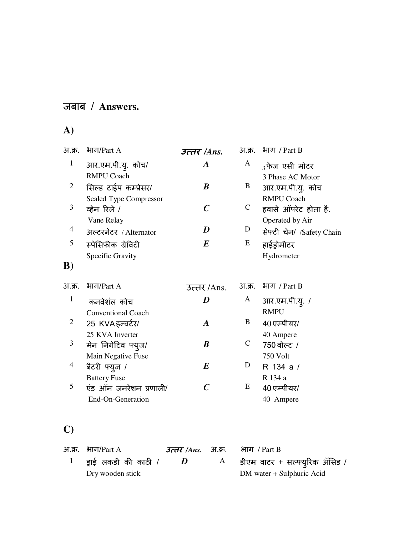## **A)**

| अ.क्र.         | भाग/ $Part A$             | उत्तर /Ans.      | अ.क्र.       | भाग / Part B              |
|----------------|---------------------------|------------------|--------------|---------------------------|
| $\mathbf{1}$   | आर.एम.पी.यु. कोच/         | $\boldsymbol{A}$ | A            | $_3$ फेज एसी मोटर         |
|                | <b>RMPU Coach</b>         |                  |              | 3 Phase AC Motor          |
| 2              | सिल्ड टाईप कम्प्रेसर/     | B                | B            | आर.एम.पी.य्. कोच          |
|                | Sealed Type Compressor    |                  |              | <b>RMPU Coach</b>         |
| 3              | व्हेन रिले /              | $\boldsymbol{C}$ | $\mathsf{C}$ | हवासे आँपरेट होता है.     |
|                | Vane Relay                |                  |              | Operated by Air           |
| $\overline{4}$ | अल्टरनेटर / Alternator    | D                | D            | सेफ्टी चेन/ /Safety Chain |
| 5              | स्पेसिफीक ग्रेविटी        | $\boldsymbol{E}$ | E            | हाईड्रोमीटर               |
|                | Specific Gravity          |                  |              | Hydrometer                |
| B)             |                           |                  |              |                           |
|                |                           |                  |              |                           |
| अ.क्र.         | भाग/ $Part A$             | उत्तर/Ans.       | अ.क्र.       | भाग <i>।</i> Part B       |
| 1              | कनवेशंल कोच               | D                | A            | आर.एम.पी.यू. /            |
|                | <b>Conventional Coach</b> |                  |              | <b>RMPU</b>               |
| 2              | 25 KVA इन्वर्टर/          | $\boldsymbol{A}$ | B            | 40 एम्पीयर/               |
|                | 25 KVA Inverter           |                  |              | 40 Ampere                 |
| 3              | मेन निगेटिव फ्युज/        | B                | $\mathsf{C}$ | 750 वोल्ट /               |
|                | Main Negative Fuse        |                  |              | 750 Volt                  |
| 4              | बैटरी फ्युज /             | E                | D            | R 134 a /                 |
|                | <b>Battery Fuse</b>       |                  |              | R 134 a                   |
| 5              | एंड आँन जनरेशन प्रणाली/   | $\boldsymbol{C}$ | E            | 40 एम्पीयर/               |
|                | End-On-Generation         |                  |              | 40 Ampere                 |

## **C)**

| $H.\overline{F}$ . भाग/Part A |            | <i>उत्तर  Ans</i> . अ.क्र. भाग / Part B  |
|-------------------------------|------------|------------------------------------------|
| $^{\rm l}$ gाई लकडी की काठी / | $\bm{\nu}$ | $\rm A$ - डीएम वाटर + सल्फ्यूरिक अँसिड / |
| Dry wooden stick              |            | DM water + Sulphuric Acid                |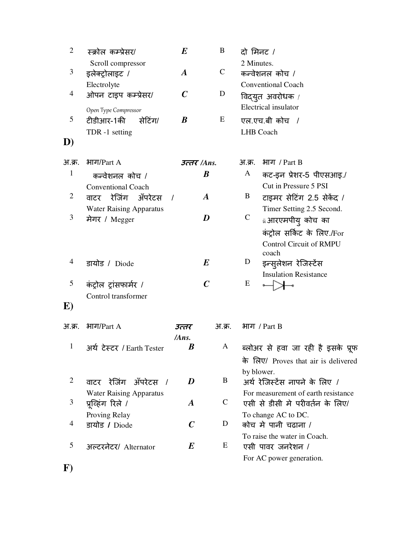| $\overline{2}$ | स्क्रोल कम्प्रेसर/                | $\boldsymbol{E}$ | B                | दो मिनट /    |                                      |
|----------------|-----------------------------------|------------------|------------------|--------------|--------------------------------------|
|                | Scroll compressor                 |                  |                  | 2 Minutes.   |                                      |
| 3              | इलेक्ट्रोलाइट /                   | $\boldsymbol{A}$ | $\mathbf C$      |              | कन्वेशनल कोच /                       |
|                | Electrolyte                       |                  |                  |              | <b>Conventional Coach</b>            |
| 4              | ओपन टाइप कम्प्रेसर/               | $\boldsymbol{C}$ | D                |              | विद्युत अवरोधक /                     |
|                | Open Type Compressor              |                  |                  |              | Electrical insulator                 |
| 5              | टीडीआर-1की<br>सेटिंग/             | $\boldsymbol{B}$ | E                |              | एल.एच.बी कोच /                       |
|                | TDR -1 setting                    |                  |                  |              | <b>LHB</b> Coach                     |
| D)             |                                   |                  |                  |              |                                      |
| अ.क्र.         | भाग/ $Part A$                     | उत्तर /Ans.      |                  | आ.क्र.       | भाग <i>/ Part B</i>                  |
| $\mathbf{1}$   | कन्वेशनल कोच /                    |                  | $\boldsymbol{B}$ | A            | कट-इन प्रेशर-5 पीएसआइ./              |
|                | <b>Conventional Coach</b>         |                  |                  |              | Cut in Pressure 5 PSI                |
| $\overline{2}$ | वाटर रेजिंग ॲंपरेटस<br>$\sqrt{ }$ |                  | $\boldsymbol{A}$ | B            | टाइमर सेटिंग 2.5 सेकेंद /            |
|                | <b>Water Raising Apparatus</b>    |                  |                  |              | Timer Setting 2.5 Second.            |
| 3              | मेगर / Megger                     |                  | D                | $\mathsf{C}$ | <b>ü आरएमपीयु</b> कोच का             |
|                |                                   |                  |                  |              | कंट्रोल सर्किट के लिए./For           |
|                |                                   |                  |                  |              | <b>Control Circuit of RMPU</b>       |
|                |                                   |                  |                  |              | coach                                |
| 4              | डायोड / Diode                     |                  | $\bm E$          | D            | इन्सुलेशन रेजिर्न्टेस                |
|                |                                   |                  |                  |              | <b>Insulation Resistance</b>         |
| 5              | कंट्रोल ट्रांसफार्मर /            |                  | $\boldsymbol{C}$ | E            |                                      |
| $\bf E)$       | Control transformer               |                  |                  |              |                                      |
|                |                                   |                  |                  |              |                                      |
| अ.क्र.         | भाग/ $Part A$                     | उत्तर            | अ.क्र.           |              | भाग / Part B                         |
|                |                                   | /Ans.            |                  |              |                                      |
| $\mathbf{1}$   | अर्थ टेस्टर / Earth Tester        | B                | A                |              | ब्लोअर से हवा जा रही है इसके प्रूफ   |
|                |                                   |                  |                  |              | के लिए/ Proves that air is delivered |
|                |                                   |                  |                  |              | by blower.                           |
| $\overline{2}$ | वाटर रेजिंग अँपरेटस<br>$\sqrt{ }$ | D                | B                |              | अर्थ रेजिस्टेंस नापने के लिए /       |
|                | <b>Water Raising Apparatus</b>    |                  |                  |              | For measurement of earth resistance  |
| 3              | प्रूव्हिंग रिले /                 | $\boldsymbol{A}$ | $\mathsf{C}$     |              | एसी से डीसी मे परीवर्तन के लिए/      |
|                | Proving Relay                     |                  |                  |              | To change AC to DC.                  |
| 4              | डायोड / Diode                     | $\boldsymbol{C}$ | D                |              | कोच मे पानी चढाना /                  |
|                |                                   |                  |                  |              | To raise the water in Coach.         |
| 5              | अल्टरनेटर/ Alternator             | $\bm E$          | E                |              | एसी पावर जनरेशन /                    |
|                |                                   |                  |                  |              | For AC power generation.             |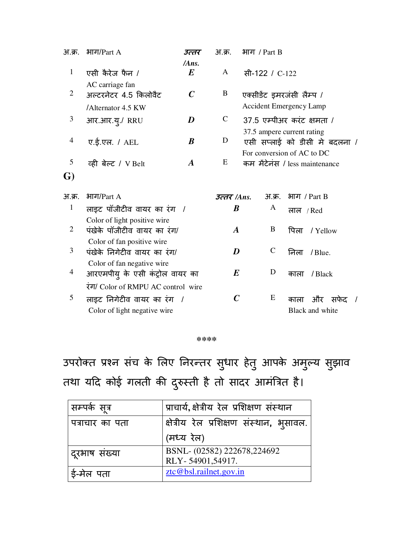| <u>अ.क्र.</u>  | भाग/ $Part A$                                                 | उत्तर                     | <u>अ.क्र.</u>    | भाग / Part B                                                 |             |                 |      |  |
|----------------|---------------------------------------------------------------|---------------------------|------------------|--------------------------------------------------------------|-------------|-----------------|------|--|
| $\mathbf{1}$   | एसी कैरेज फैन /                                               | /Ans.<br>$\boldsymbol{E}$ | A                | सी-122 / C-122                                               |             |                 |      |  |
| $\overline{2}$ | AC carriage fan<br>अल्टरनेटर 4.5 किलोवैट                      | $\boldsymbol{C}$          | B                | एक्सीडेंट इमरजंसी लैम्प /                                    |             |                 |      |  |
|                | /Alternator 4.5 KW                                            |                           |                  | <b>Accident Emergency Lamp</b>                               |             |                 |      |  |
| 3              | आर.आर.यू./ RRU                                                | D                         | $\mathcal{C}$    | $37.5$ एम्पीअर करंट क्षमता /                                 |             |                 |      |  |
| $\overline{4}$ | ए.ई.एल. / AEL                                                 | $\boldsymbol{B}$          | D                | 37.5 ampere current rating<br>एसी सप्लाई को डीसी मे बदलना /  |             |                 |      |  |
| 5              | व्ही बेल्ट / V Belt                                           | $\boldsymbol{A}$          | E                | For conversion of AC to DC<br>कम मेंटेनंस / less maintenance |             |                 |      |  |
| G)             |                                                               |                           |                  |                                                              |             |                 |      |  |
| अ.क्र.         | भाग/ $Part A$                                                 |                           | उत्तर $/Ans.$    | <u>अ.क्र.</u>                                                |             | भाग / Part B    |      |  |
| $\mathbf{1}$   | लाइट पॉजीटीव वायर का रंग /                                    |                           | B                | A                                                            | लाल $/$ Red |                 |      |  |
| $\overline{2}$ | Color of light positive wire<br>पंखेके पॉजीटीव वायर का रंग/   |                           | $\boldsymbol{A}$ | B                                                            | पिला        | / Yellow        |      |  |
| 3              | Color of fan positive wire<br>पंखेके निगेटीव वायर का रंग/     |                           | D                | $\mathsf{C}$                                                 | निला        | $/$ Blue.       |      |  |
| $\overline{4}$ | Color of fan negative wire<br>आरएमपीयु के एसी कंट्रोल वायर का |                           | $\boldsymbol{E}$ | D                                                            | काला        | / Black         |      |  |
|                | रंग/ Color of RMPU AC control wire                            |                           |                  |                                                              |             |                 |      |  |
| 5              | लाइट निगेटीव वायर का रंग /                                    |                           | $\mathcal C$     | E                                                            | काला        | और              | सफेद |  |
|                | Color of light negative wire                                  |                           |                  |                                                              |             | Black and white |      |  |

#### **\*\*\*\***

उपरोक्त प्रश्न संच के लिए निरन्तर सुधार हेतु आपके अमुल्य सुझाव तथा यदि कोई गलती की दुरुस्ती है तो सादर आमंत्रित है।

| सम्पर्क सूत्र   | प्राचार्य,क्षेत्रीय रेल प्रशिक्षण संस्थान |
|-----------------|-------------------------------------------|
| पत्राचार का पता | क्षेत्रीय रेल प्रशिक्षण संस्थान, भुसावल.  |
|                 | (मध्य रेल)                                |
| ' दूरभाष संख्या | BSNL- (02582) 222678,224692               |
|                 | RLY-54901,54917.                          |
| ई-मेल पता       | ztc@bsl.railnet.gov.in                    |